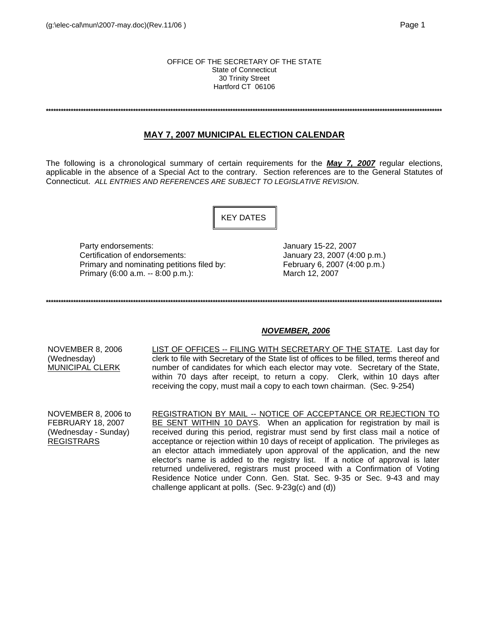#### OFFICE OF THE SECRETARY OF THE STATE State of Connecticut 30 Trinity Street Hartford CT 06106

**\*\*\*\*\*\*\*\*\*\*\*\*\*\*\*\*\*\*\*\*\*\*\*\*\*\*\*\*\*\*\*\*\*\*\*\*\*\*\*\*\*\*\*\*\*\*\*\*\*\*\*\*\*\*\*\*\*\*\*\*\*\*\*\*\*\*\*\*\*\*\*\*\*\*\*\*\*\*\*\*\*\*\*\*\*\*\*\*\*\*\*\*\*\*\*\*\*\*\*\*\*\*\*\*\*\*\*\*\*\*\*\*\*\*\*\*\*\*\*\*\*\*\*\*\*\*\*\*\*\*\*\*\*\*\*\*\*\*\*\*\*\*\*\*\*\*\*\*\*\*\*\*\*\*\*\*\*\*\***

# **MAY 7, 2007 MUNICIPAL ELECTION CALENDAR**

The following is a chronological summary of certain requirements for the *May 7, 2007* regular elections, applicable in the absence of a Special Act to the contrary. Section references are to the General Statutes of Connecticut. *ALL ENTRIES AND REFERENCES ARE SUBJECT TO LEGISLATIVE REVISION*.

KEY DATES

Party endorsements:  $\frac{1}{2}$  January 15-22, 2007 Certification of endorsements: January 23, 2007 (4:00 p.m.) Primary and nominating petitions filed by: February 6, 2007 (4:00 p.m.) Primary (6:00 a.m. -- 8:00 p.m.): March 12, 2007

**\*\*\*\*\*\*\*\*\*\*\*\*\*\*\*\*\*\*\*\*\*\*\*\*\*\*\*\*\*\*\*\*\*\*\*\*\*\*\*\*\*\*\*\*\*\*\*\*\*\*\*\*\*\*\*\*\*\*\*\*\*\*\*\*\*\*\*\*\*\*\*\*\*\*\*\*\*\*\*\*\*\*\*\*\*\*\*\*\*\*\*\*\*\*\*\*\*\*\*\*\*\*\*\*\*\*\*\*\*\*\*\*\*\*\*\*\*\*\*\*\*\*\*\*\*\*\*\*\*\*\*\*\*\*\*\*\*\*\*\*\*\*\*\*\*\*\*\*\*\*\*\*\*\*\*\*\*\*\***

## *NOVEMBER, 2006*

NOVEMBER 8, 2006 (Wednesday) MUNICIPAL CLERK

LIST OF OFFICES -- FILING WITH SECRETARY OF THE STATE. Last day for clerk to file with Secretary of the State list of offices to be filled, terms thereof and number of candidates for which each elector may vote. Secretary of the State, within 70 days after receipt, to return a copy. Clerk, within 10 days after receiving the copy, must mail a copy to each town chairman. (Sec. 9-254)

NOVEMBER 8, 2006 to FEBRUARY 18, 2007 (Wednesday - Sunday) REGISTRARS

REGISTRATION BY MAIL -- NOTICE OF ACCEPTANCE OR REJECTION TO BE SENT WITHIN 10 DAYS. When an application for registration by mail is received during this period, registrar must send by first class mail a notice of acceptance or rejection within 10 days of receipt of application. The privileges as an elector attach immediately upon approval of the application, and the new elector's name is added to the registry list. If a notice of approval is later returned undelivered, registrars must proceed with a Confirmation of Voting Residence Notice under Conn. Gen. Stat. Sec. 9-35 or Sec. 9-43 and may challenge applicant at polls. (Sec. 9-23g(c) and (d))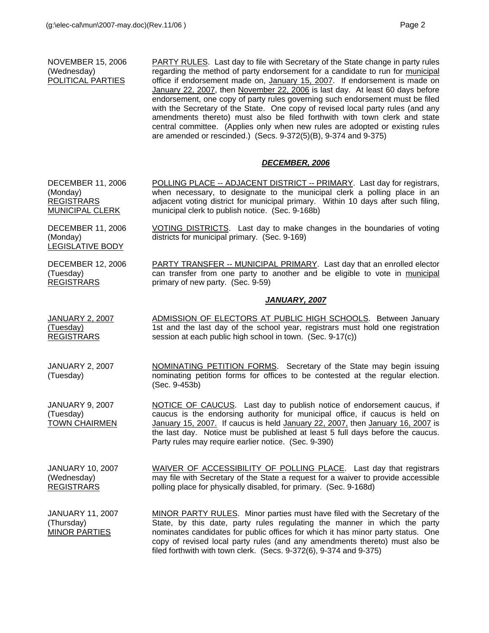## NOVEMBER 15, 2006 (Wednesday) POLITICAL PARTIES

PARTY RULES. Last day to file with Secretary of the State change in party rules regarding the method of party endorsement for a candidate to run for municipal office if endorsement made on, January 15, 2007. If endorsement is made on January 22, 2007, then November 22, 2006 is last day. At least 60 days before endorsement, one copy of party rules governing such endorsement must be filed with the Secretary of the State. One copy of revised local party rules (and any amendments thereto) must also be filed forthwith with town clerk and state central committee. (Applies only when new rules are adopted or existing rules are amended or rescinded.) (Secs. 9-372(5)(B), 9-374 and 9-375)

# *DECEMBER, 2006*

DECEMBER 11, 2006 (Monday) REGISTRARS MUNICIPAL CLERK POLLING PLACE -- ADJACENT DISTRICT -- PRIMARY. Last day for registrars, when necessary, to designate to the municipal clerk a polling place in an adjacent voting district for municipal primary. Within 10 days after such filing, municipal clerk to publish notice. (Sec. 9-168b)

districts for municipal primary. (Sec. 9-169)

DECEMBER 11, 2006 (Monday) LEGISLATIVE BODY

DECEMBER 12, 2006 (Tuesday) REGISTRARS

PARTY TRANSFER -- MUNICIPAL PRIMARY. Last day that an enrolled elector can transfer from one party to another and be eligible to vote in municipal primary of new party. (Sec. 9-59)

VOTING DISTRICTS. Last day to make changes in the boundaries of voting

#### *JANUARY, 2007*

- JANUARY 2, 2007 (Tuesday) REGISTRARS ADMISSION OF ELECTORS AT PUBLIC HIGH SCHOOLS. Between January 1st and the last day of the school year, registrars must hold one registration session at each public high school in town. (Sec. 9-17(c))
- JANUARY 2, 2007 (Tuesday) NOMINATING PETITION FORMS. Secretary of the State may begin issuing nominating petition forms for offices to be contested at the regular election. (Sec. 9-453b)

JANUARY 9, 2007 (Tuesday) TOWN CHAIRMEN NOTICE OF CAUCUS. Last day to publish notice of endorsement caucus, if caucus is the endorsing authority for municipal office, if caucus is held on January 15, 2007. If caucus is held January 22, 2007, then January 16, 2007 is the last day. Notice must be published at least 5 full days before the caucus. Party rules may require earlier notice. (Sec. 9-390)

JANUARY 10, 2007 (Wednesday) REGISTRARS WAIVER OF ACCESSIBILITY OF POLLING PLACE. Last day that registrars may file with Secretary of the State a request for a waiver to provide accessible polling place for physically disabled, for primary. (Sec. 9-168d)

JANUARY 11, 2007 (Thursday) MINOR PARTIES MINOR PARTY RULES. Minor parties must have filed with the Secretary of the State, by this date, party rules regulating the manner in which the party nominates candidates for public offices for which it has minor party status. One copy of revised local party rules (and any amendments thereto) must also be filed forthwith with town clerk. (Secs. 9-372(6), 9-374 and 9-375)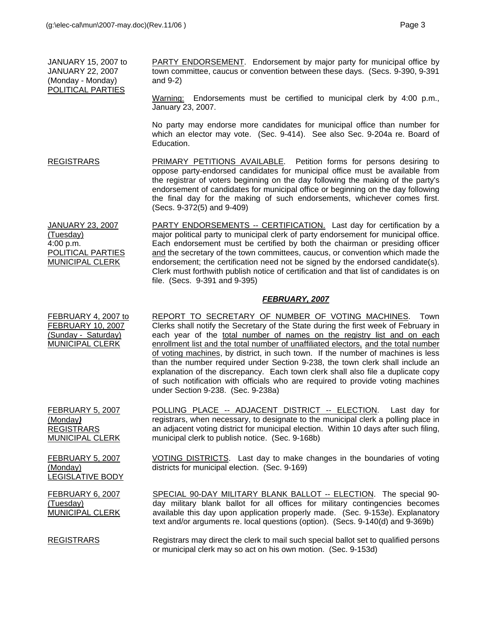JANUARY 15, 2007 to JANUARY 22, 2007 (Monday - Monday) POLITICAL PARTIES PARTY ENDORSEMENT. Endorsement by major party for municipal office by town committee, caucus or convention between these days. (Secs. 9-390, 9-391 and 9-2)

Warning: Endorsements must be certified to municipal clerk by 4:00 p.m., January 23, 2007.

 No party may endorse more candidates for municipal office than number for which an elector may vote. (Sec. 9-414). See also Sec. 9-204a re. Board of Education.

REGISTRARS PRIMARY PETITIONS AVAILABLE. Petition forms for persons desiring to oppose party-endorsed candidates for municipal office must be available from the registrar of voters beginning on the day following the making of the party's endorsement of candidates for municipal office or beginning on the day following the final day for the making of such endorsements, whichever comes first. (Secs. 9-372(5) and 9-409)

JANUARY 23, 2007 (Tuesday) 4:00 p.m. POLITICAL PARTIES MUNICIPAL CLERK PARTY ENDORSEMENTS -- CERTIFICATION. Last day for certification by a major political party to municipal clerk of party endorsement for municipal office. Each endorsement must be certified by both the chairman or presiding officer and the secretary of the town committees, caucus, or convention which made the endorsement; the certification need not be signed by the endorsed candidate(s). Clerk must forthwith publish notice of certification and that list of candidates is on file. (Secs. 9-391 and 9-395)

#### *FEBRUARY, 2007*

FEBRUARY 4, 2007 to FEBRUARY 10, 2007 (Sunday - Saturday) MUNICIPAL CLERK REPORT TO SECRETARY OF NUMBER OF VOTING MACHINES. Town Clerks shall notify the Secretary of the State during the first week of February in each year of the total number of names on the registry list and on each enrollment list and the total number of unaffiliated electors, and the total number of voting machines, by district, in such town. If the number of machines is less than the number required under Section 9-238, the town clerk shall include an explanation of the discrepancy. Each town clerk shall also file a duplicate copy of such notification with officials who are required to provide voting machines under Section 9-238. (Sec. 9-238a)

FEBRUARY 5, 2007 (Monday*)* REGISTRARS MUNICIPAL CLERK POLLING PLACE -- ADJACENT DISTRICT -- ELECTION. Last day for registrars, when necessary, to designate to the municipal clerk a polling place in an adjacent voting district for municipal election. Within 10 days after such filing, municipal clerk to publish notice. (Sec. 9-168b)

FEBRUARY 5, 2007 (Monday) LEGISLATIVE BODY VOTING DISTRICTS. Last day to make changes in the boundaries of voting districts for municipal election. (Sec. 9-169)

FEBRUARY 6, 2007 (Tuesday) MUNICIPAL CLERK

SPECIAL 90-DAY MILITARY BLANK BALLOT -- ELECTION. The special 90day military blank ballot for all offices for military contingencies becomes available this day upon application properly made. (Sec. 9-153e). Explanatory text and/or arguments re. local questions (option). (Secs. 9-140(d) and 9-369b)

REGISTRARS Registrars may direct the clerk to mail such special ballot set to qualified persons or municipal clerk may so act on his own motion. (Sec. 9-153d)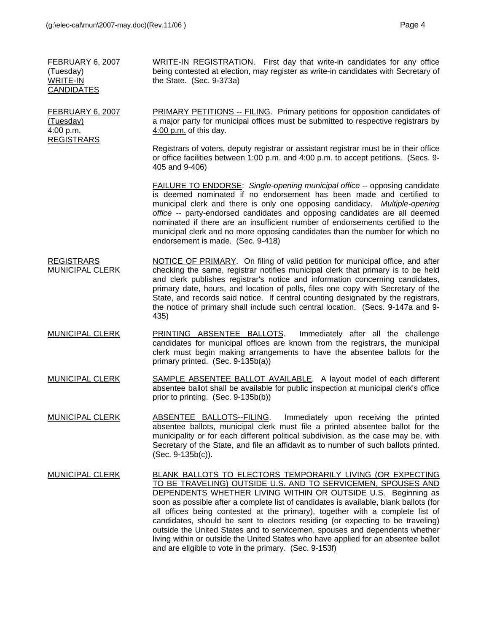FEBRUARY 6, 2007

(Tuesday) 4:00 p.m. REGISTRARS

| FEBRUARY 6. 2007  | WRITE-IN REGISTRATION. First day that write-in candidates for any office           |
|-------------------|------------------------------------------------------------------------------------|
| (Tuesday)         | being contested at election, may register as write-in candidates with Secretary of |
| WRITE-IN          | the State. $(Sec. 9-373a)$                                                         |
| <b>CANDIDATES</b> |                                                                                    |
|                   |                                                                                    |

PRIMARY PETITIONS -- FILING. Primary petitions for opposition candidates of a major party for municipal offices must be submitted to respective registrars by 4:00 p.m. of this day.

Registrars of voters, deputy registrar or assistant registrar must be in their office or office facilities between 1:00 p.m. and 4:00 p.m. to accept petitions. (Secs. 9- 405 and 9-406)

FAILURE TO ENDORSE: *Single-opening municipal office --* opposing candidate is deemed nominated if no endorsement has been made and certified to municipal clerk and there is only one opposing candidacy. *Multiple-opening office --* party-endorsed candidates and opposing candidates are all deemed nominated if there are an insufficient number of endorsements certified to the municipal clerk and no more opposing candidates than the number for which no endorsement is made. (Sec. 9-418)

- REGISTRARS MUNICIPAL CLERK NOTICE OF PRIMARY. On filing of valid petition for municipal office, and after checking the same, registrar notifies municipal clerk that primary is to be held and clerk publishes registrar's notice and information concerning candidates, primary date, hours, and location of polls, files one copy with Secretary of the State, and records said notice. If central counting designated by the registrars, the notice of primary shall include such central location. (Secs. 9-147a and 9- 435)
- MUNICIPAL CLERK PRINTING ABSENTEE BALLOTS. Immediately after all the challenge candidates for municipal offices are known from the registrars, the municipal clerk must begin making arrangements to have the absentee ballots for the primary printed. (Sec. 9-135b(a))
- MUNICIPAL CLERK SAMPLE ABSENTEE BALLOT AVAILABLE. A layout model of each different absentee ballot shall be available for public inspection at municipal clerk's office prior to printing. (Sec. 9-135b(b))
- MUNICIPAL CLERK ABSENTEE BALLOTS--FILING. Immediately upon receiving the printed absentee ballots, municipal clerk must file a printed absentee ballot for the municipality or for each different political subdivision, as the case may be, with Secretary of the State, and file an affidavit as to number of such ballots printed. (Sec. 9-135b(c)).
- MUNICIPAL CLERK BLANK BALLOTS TO ELECTORS TEMPORARILY LIVING (OR EXPECTING TO BE TRAVELING) OUTSIDE U.S. AND TO SERVICEMEN, SPOUSES AND DEPENDENTS WHETHER LIVING WITHIN OR OUTSIDE U.S. Beginning as soon as possible after a complete list of candidates is available, blank ballots (for all offices being contested at the primary), together with a complete list of candidates, should be sent to electors residing (or expecting to be traveling) outside the United States and to servicemen, spouses and dependents whether living within or outside the United States who have applied for an absentee ballot and are eligible to vote in the primary. (Sec. 9-153f)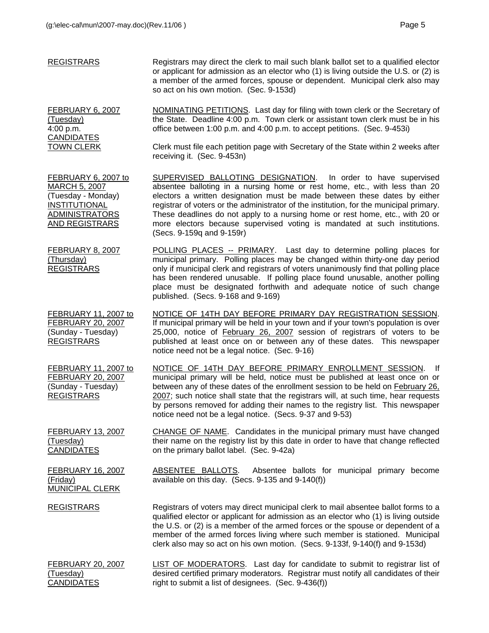| <b>REGISTRARS</b>                                                                                                                    | Registrars may direct the clerk to mail such blank ballot set to a qualified elector<br>or applicant for admission as an elector who (1) is living outside the U.S. or (2) is<br>a member of the armed forces, spouse or dependent. Municipal clerk also may<br>so act on his own motion. (Sec. 9-153d)                                                                                                                                                                                                        |
|--------------------------------------------------------------------------------------------------------------------------------------|----------------------------------------------------------------------------------------------------------------------------------------------------------------------------------------------------------------------------------------------------------------------------------------------------------------------------------------------------------------------------------------------------------------------------------------------------------------------------------------------------------------|
| FEBRUARY 6, 2007<br>(Tuesday)<br>4:00 p.m.<br><b>CANDIDATES</b>                                                                      | NOMINATING PETITIONS. Last day for filing with town clerk or the Secretary of<br>the State. Deadline 4:00 p.m. Town clerk or assistant town clerk must be in his<br>office between 1:00 p.m. and 4:00 p.m. to accept petitions. (Sec. 9-453i)                                                                                                                                                                                                                                                                  |
| <b>TOWN CLERK</b>                                                                                                                    | Clerk must file each petition page with Secretary of the State within 2 weeks after<br>receiving it. (Sec. 9-453n)                                                                                                                                                                                                                                                                                                                                                                                             |
| FEBRUARY 6, 2007 to<br><b>MARCH 5, 2007</b><br>(Tuesday - Monday)<br><b>INSTITUTIONAL</b><br><b>ADMINISTRATORS</b><br>AND REGISTRARS | SUPERVISED BALLOTING DESIGNATION. In order to have supervised<br>absentee balloting in a nursing home or rest home, etc., with less than 20<br>electors a written designation must be made between these dates by either<br>registrar of voters or the administrator of the institution, for the municipal primary.<br>These deadlines do not apply to a nursing home or rest home, etc., with 20 or<br>more electors because supervised voting is mandated at such institutions.<br>(Secs. 9-159q and 9-159r) |
| <b>FEBRUARY 8, 2007</b><br>(Thursday)<br><b>REGISTRARS</b>                                                                           | POLLING PLACES -- PRIMARY. Last day to determine polling places for<br>municipal primary. Polling places may be changed within thirty-one day period<br>only if municipal clerk and registrars of voters unanimously find that polling place<br>has been rendered unusable. If polling place found unusable, another polling<br>place must be designated forthwith and adequate notice of such change<br>published. (Secs. 9-168 and 9-169)                                                                    |
| FEBRUARY 11, 2007 to<br><b>FEBRUARY 20, 2007</b><br>(Sunday - Tuesday)<br><b>REGISTRARS</b>                                          | NOTICE OF 14TH DAY BEFORE PRIMARY DAY REGISTRATION SESSION.<br>If municipal primary will be held in your town and if your town's population is over<br>25,000, notice of February 26, 2007 session of registrars of voters to be<br>published at least once on or between any of these dates. This newspaper<br>notice need not be a legal notice. (Sec. 9-16)                                                                                                                                                 |
| FEBRUARY 11, 2007 to<br><b>FEBRUARY 20, 2007</b><br>(Sunday - Tuesday)<br><b>REGISTRARS</b>                                          | NOTICE OF 14TH DAY BEFORE PRIMARY ENROLLMENT SESSION.<br>- If<br>municipal primary will be held, notice must be published at least once on or<br>between any of these dates of the enrollment session to be held on February 26,<br>2007; such notice shall state that the registrars will, at such time, hear requests<br>by persons removed for adding their names to the registry list. This newspaper<br>notice need not be a legal notice. (Secs. 9-37 and 9-53)                                          |
| <b>FEBRUARY 13, 2007</b><br>(Tuesday)<br><b>CANDIDATES</b>                                                                           | CHANGE OF NAME. Candidates in the municipal primary must have changed<br>their name on the registry list by this date in order to have that change reflected<br>on the primary ballot label. (Sec. 9-42a)                                                                                                                                                                                                                                                                                                      |
| <b>FEBRUARY 16, 2007</b><br>(Friday)<br><b>MUNICIPAL CLERK</b>                                                                       | ABSENTEE BALLOTS.<br>Absentee ballots for municipal primary become<br>available on this day. (Secs. 9-135 and 9-140(f))                                                                                                                                                                                                                                                                                                                                                                                        |
| <b>REGISTRARS</b>                                                                                                                    | Registrars of voters may direct municipal clerk to mail absentee ballot forms to a<br>qualified elector or applicant for admission as an elector who (1) is living outside<br>the U.S. or (2) is a member of the armed forces or the spouse or dependent of a<br>member of the armed forces living where such member is stationed. Municipal<br>clerk also may so act on his own motion. (Secs. 9-133f, 9-140(f) and 9-153d)                                                                                   |
| <b>FEBRUARY 20, 2007</b><br>(Tuesday)<br><b>CANDIDATES</b>                                                                           | LIST OF MODERATORS. Last day for candidate to submit to registrar list of<br>desired certified primary moderators. Registrar must notify all candidates of their<br>right to submit a list of designees. (Sec. 9-436(f))                                                                                                                                                                                                                                                                                       |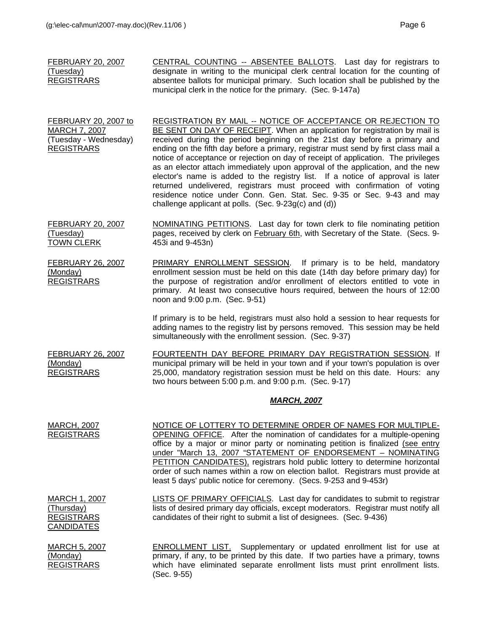| <b>FEBRUARY 20, 2007</b><br>(Tuesday)<br><b>REGISTRARS</b>                                        | CENTRAL COUNTING -- ABSENTEE BALLOTS. Last day for registrars to<br>designate in writing to the municipal clerk central location for the counting of<br>absentee ballots for municipal primary. Such location shall be published by the<br>municipal clerk in the notice for the primary. (Sec. 9-147a)                                                                                                                                                                                                                                                                                                                                                                                                                                                                                         |
|---------------------------------------------------------------------------------------------------|-------------------------------------------------------------------------------------------------------------------------------------------------------------------------------------------------------------------------------------------------------------------------------------------------------------------------------------------------------------------------------------------------------------------------------------------------------------------------------------------------------------------------------------------------------------------------------------------------------------------------------------------------------------------------------------------------------------------------------------------------------------------------------------------------|
| <b>FEBRUARY 20, 2007 to</b><br><b>MARCH 7, 2007</b><br>(Tuesday - Wednesday)<br><b>REGISTRARS</b> | <b>REGISTRATION BY MAIL -- NOTICE OF ACCEPTANCE OR REJECTION TO</b><br>BE SENT ON DAY OF RECEIPT. When an application for registration by mail is<br>received during the period beginning on the 21st day before a primary and<br>ending on the fifth day before a primary, registrar must send by first class mail a<br>notice of acceptance or rejection on day of receipt of application. The privileges<br>as an elector attach immediately upon approval of the application, and the new<br>elector's name is added to the registry list. If a notice of approval is later<br>returned undelivered, registrars must proceed with confirmation of voting<br>residence notice under Conn. Gen. Stat. Sec. 9-35 or Sec. 9-43 and may<br>challenge applicant at polls. (Sec. 9-23g(c) and (d)) |
| <b>FEBRUARY 20, 2007</b><br>(Tuesday)<br><b>TOWN CLERK</b>                                        | NOMINATING PETITIONS. Last day for town clerk to file nominating petition<br>pages, received by clerk on <b>February 6th</b> , with Secretary of the State. (Secs. 9-<br>453i and 9-453n)                                                                                                                                                                                                                                                                                                                                                                                                                                                                                                                                                                                                       |
| <b>FEBRUARY 26, 2007</b><br>(Monday)<br><b>REGISTRARS</b>                                         | PRIMARY ENROLLMENT SESSION. If primary is to be held, mandatory<br>enrollment session must be held on this date (14th day before primary day) for<br>the purpose of registration and/or enrollment of electors entitled to vote in<br>primary. At least two consecutive hours required, between the hours of 12:00<br>noon and 9:00 p.m. (Sec. 9-51)                                                                                                                                                                                                                                                                                                                                                                                                                                            |
|                                                                                                   | If primary is to be held, registrars must also hold a session to hear requests for<br>adding names to the registry list by persons removed. This session may be held<br>simultaneously with the enrollment session. (Sec. 9-37)                                                                                                                                                                                                                                                                                                                                                                                                                                                                                                                                                                 |
| <b>FEBRUARY 26, 2007</b><br>(Monday)<br><b>REGISTRARS</b>                                         | FOURTEENTH DAY BEFORE PRIMARY DAY REGISTRATION SESSION. If<br>municipal primary will be held in your town and if your town's population is over<br>25,000, mandatory registration session must be held on this date. Hours: any<br>two hours between 5:00 p.m. and 9:00 p.m. (Sec. 9-17)                                                                                                                                                                                                                                                                                                                                                                                                                                                                                                        |
|                                                                                                   | <b>MARCH, 2007</b>                                                                                                                                                                                                                                                                                                                                                                                                                                                                                                                                                                                                                                                                                                                                                                              |
| <b>MARCH, 2007</b><br><b>REGISTRARS</b>                                                           | NOTICE OF LOTTERY TO DETERMINE ORDER OF NAMES FOR MULTIPLE-<br>OPENING OFFICE. After the nomination of candidates for a multiple-opening<br>office by a major or minor party or nominating petition is finalized (see entry<br>under "March 13, 2007 "STATEMENT OF ENDORSEMENT - NOMINATING<br>PETITION CANDIDATES), registrars hold public lottery to determine horizontal<br>order of such names within a row on election ballot. Registrars must provide at<br>least 5 days' public notice for ceremony. (Secs. 9-253 and 9-453r)                                                                                                                                                                                                                                                            |
| MARCH 1, 2007<br>(Thursday)<br><b>REGISTRARS</b><br><b>CANDIDATES</b>                             | LISTS OF PRIMARY OFFICIALS. Last day for candidates to submit to registrar<br>lists of desired primary day officials, except moderators. Registrar must notify all<br>candidates of their right to submit a list of designees. (Sec. 9-436)                                                                                                                                                                                                                                                                                                                                                                                                                                                                                                                                                     |
| <b>MARCH 5, 2007</b><br>(Monday)<br><b>REGISTRARS</b>                                             | <b>ENROLLMENT LIST.</b> Supplementary or updated enrollment list for use at<br>primary, if any, to be printed by this date. If two parties have a primary, towns<br>which have eliminated separate enrollment lists must print enrollment lists.<br>(Sec. 9-55)                                                                                                                                                                                                                                                                                                                                                                                                                                                                                                                                 |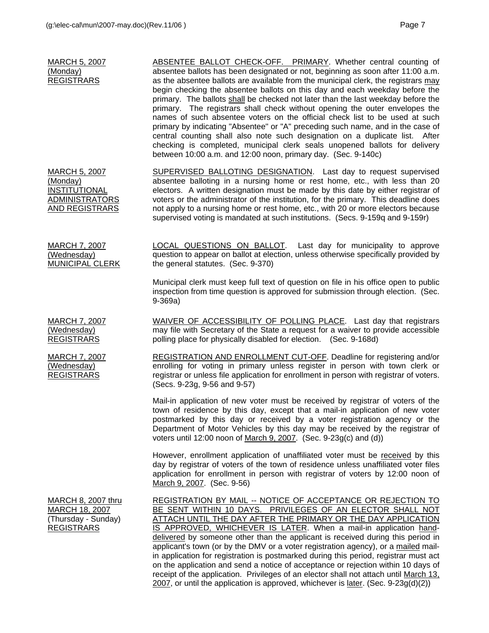| <b>MARCH 5, 2007</b><br>(Monday)<br><b>REGISTRARS</b>                                 | ABSENTEE BALLOT CHECK-OFF. PRIMARY. Whether central counting of<br>absentee ballots has been designated or not, beginning as soon after 11:00 a.m.<br>as the absentee ballots are available from the municipal clerk, the registrars may<br>begin checking the absentee ballots on this day and each weekday before the<br>primary. The ballots shall be checked not later than the last weekday before the<br>primary. The registrars shall check without opening the outer envelopes the<br>names of such absentee voters on the official check list to be used at such<br>primary by indicating "Absentee" or "A" preceding such name, and in the case of<br>central counting shall also note such designation on a duplicate list. After<br>checking is completed, municipal clerk seals unopened ballots for delivery<br>between 10:00 a.m. and 12:00 noon, primary day. (Sec. 9-140c) |
|---------------------------------------------------------------------------------------|---------------------------------------------------------------------------------------------------------------------------------------------------------------------------------------------------------------------------------------------------------------------------------------------------------------------------------------------------------------------------------------------------------------------------------------------------------------------------------------------------------------------------------------------------------------------------------------------------------------------------------------------------------------------------------------------------------------------------------------------------------------------------------------------------------------------------------------------------------------------------------------------|
| MARCH 5, 2007<br>(Monday)<br>INSTITUTIONAL<br><b>ADMINISTRATORS</b><br>AND REGISTRARS | SUPERVISED BALLOTING DESIGNATION. Last day to request supervised<br>absentee balloting in a nursing home or rest home, etc., with less than 20<br>electors. A written designation must be made by this date by either registrar of<br>voters or the administrator of the institution, for the primary. This deadline does<br>not apply to a nursing home or rest home, etc., with 20 or more electors because<br>supervised voting is mandated at such institutions. (Secs. 9-159q and 9-159r)                                                                                                                                                                                                                                                                                                                                                                                              |
| MARCH 7, 2007<br>(Wednesday)<br><b>MUNICIPAL CLERK</b>                                | <b>LOCAL QUESTIONS ON BALLOT.</b> Last day for municipality to approve<br>question to appear on ballot at election, unless otherwise specifically provided by<br>the general statutes. (Sec. 9-370)                                                                                                                                                                                                                                                                                                                                                                                                                                                                                                                                                                                                                                                                                         |
|                                                                                       | Municipal clerk must keep full text of question on file in his office open to public<br>inspection from time question is approved for submission through election. (Sec.<br>$9-369a)$                                                                                                                                                                                                                                                                                                                                                                                                                                                                                                                                                                                                                                                                                                       |
| <b>MARCH 7, 2007</b><br>(Wednesday)<br><b>REGISTRARS</b>                              | WAIVER OF ACCESSIBILITY OF POLLING PLACE. Last day that registrars<br>may file with Secretary of the State a request for a waiver to provide accessible<br>polling place for physically disabled for election. (Sec. 9-168d)                                                                                                                                                                                                                                                                                                                                                                                                                                                                                                                                                                                                                                                                |
| MARCH 7, 2007<br>(Wednesday)<br><b>REGISTRARS</b>                                     | REGISTRATION AND ENROLLMENT CUT-OFF. Deadline for registering and/or<br>enrolling for voting in primary unless register in person with town clerk or<br>registrar or unless file application for enrollment in person with registrar of voters.<br>(Secs. 9-23g, 9-56 and 9-57)                                                                                                                                                                                                                                                                                                                                                                                                                                                                                                                                                                                                             |
|                                                                                       | Mail-in application of new voter must be received by registrar of voters of the<br>town of residence by this day, except that a mail-in application of new voter<br>postmarked by this day or received by a voter registration agency or the<br>Department of Motor Vehicles by this day may be received by the registrar of<br>voters until 12:00 noon of March 9, 2007. (Sec. 9-23g(c) and (d))                                                                                                                                                                                                                                                                                                                                                                                                                                                                                           |
|                                                                                       | However, enrollment application of unaffiliated voter must be received by this<br>day by registrar of voters of the town of residence unless unaffiliated voter files<br>application for enrollment in person with registrar of voters by 12:00 noon of<br>March 9, 2007. (Sec. 9-56)                                                                                                                                                                                                                                                                                                                                                                                                                                                                                                                                                                                                       |
| MARCH 8, 2007 thru<br>MARCH 18, 2007<br>(Thursday - Sunday)<br><b>REGISTRARS</b>      | REGISTRATION BY MAIL -- NOTICE OF ACCEPTANCE OR REJECTION TO<br>BE SENT WITHIN 10 DAYS. PRIVILEGES OF AN ELECTOR SHALL NOT<br>ATTACH UNTIL THE DAY AFTER THE PRIMARY OR THE DAY APPLICATION<br>IS APPROVED, WHICHEVER IS LATER. When a mail-in application hand-<br>delivered by someone other than the applicant is received during this period in<br>applicant's town (or by the DMV or a voter registration agency), or a mailed mail-<br>in application for registration is postmarked during this period, registrar must act<br>on the application and send a notice of acceptance or rejection within 10 days of                                                                                                                                                                                                                                                                      |

receipt of the application. Privileges of an elector shall not attach until March 13, 2007, or until the application is approved, whichever is <u>later</u>. (Sec. 9-23g(d)(2))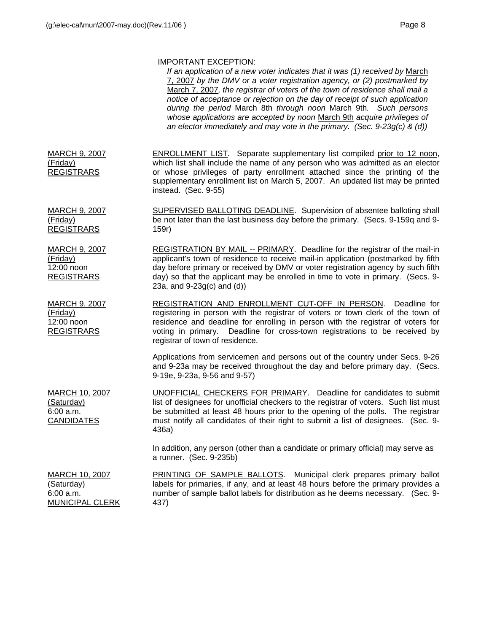# IMPORTANT EXCEPTION:

|                                                                       | <b>IIVIT VINTAINT LAULE TIUIN.</b><br>If an application of a new voter indicates that it was (1) received by March<br>7, 2007 by the DMV or a voter registration agency, or (2) postmarked by<br>March 7, 2007, the registrar of voters of the town of residence shall mail a<br>notice of acceptance or rejection on the day of receipt of such application<br>during the period March 8th through noon March 9th. Such persons<br>whose applications are accepted by noon March 9th acquire privileges of<br>an elector immediately and may vote in the primary. (Sec. $9-23g(c)$ & (d)) |
|-----------------------------------------------------------------------|--------------------------------------------------------------------------------------------------------------------------------------------------------------------------------------------------------------------------------------------------------------------------------------------------------------------------------------------------------------------------------------------------------------------------------------------------------------------------------------------------------------------------------------------------------------------------------------------|
| <b>MARCH 9, 2007</b><br>(Friday)<br><b>REGISTRARS</b>                 | <b>ENROLLMENT LIST.</b> Separate supplementary list compiled prior to 12 noon,<br>which list shall include the name of any person who was admitted as an elector<br>or whose privileges of party enrollment attached since the printing of the<br>supplementary enrollment list on March 5, 2007. An updated list may be printed<br>instead. (Sec. 9-55)                                                                                                                                                                                                                                   |
| <b>MARCH 9, 2007</b><br>(Friday)<br><b>REGISTRARS</b>                 | SUPERVISED BALLOTING DEADLINE. Supervision of absentee balloting shall<br>be not later than the last business day before the primary. (Secs. 9-159q and 9-<br>159r)                                                                                                                                                                                                                                                                                                                                                                                                                        |
| <b>MARCH 9, 2007</b><br>(Friday)<br>12:00 noon<br><b>REGISTRARS</b>   | REGISTRATION BY MAIL -- PRIMARY. Deadline for the registrar of the mail-in<br>applicant's town of residence to receive mail-in application (postmarked by fifth<br>day before primary or received by DMV or voter registration agency by such fifth<br>day) so that the applicant may be enrolled in time to vote in primary. (Secs. 9-<br>23a, and $9-23g(c)$ and $(d)$ )                                                                                                                                                                                                                 |
| <b>MARCH 9, 2007</b><br>(Friday)<br>12:00 noon<br><b>REGISTRARS</b>   | REGISTRATION AND ENROLLMENT CUT-OFF IN PERSON.<br>Deadline for<br>registering in person with the registrar of voters or town clerk of the town of<br>residence and deadline for enrolling in person with the registrar of voters for<br>voting in primary. Deadline for cross-town registrations to be received by<br>registrar of town of residence.                                                                                                                                                                                                                                      |
|                                                                       | Applications from servicemen and persons out of the country under Secs. 9-26<br>and 9-23a may be received throughout the day and before primary day. (Secs.<br>9-19e, 9-23a, 9-56 and 9-57)                                                                                                                                                                                                                                                                                                                                                                                                |
| <b>MARCH 10, 2007</b><br>(Saturday)<br>6:00 a.m.<br><b>CANDIDATES</b> | <b>UNOFFICIAL CHECKERS FOR PRIMARY.</b> Deadline for candidates to submit<br>list of designees for unofficial checkers to the registrar of voters. Such list must<br>be submitted at least 48 hours prior to the opening of the polls. The registrar<br>must notify all candidates of their right to submit a list of designees. (Sec. 9-<br>436a)                                                                                                                                                                                                                                         |
|                                                                       | In addition, any person (other than a candidate or primary official) may serve as<br>a runner. (Sec. 9-235b)                                                                                                                                                                                                                                                                                                                                                                                                                                                                               |
| MARCH 10, 2007<br>(Saturday)<br>6:00 a.m.<br><b>MUNICIPAL CLERK</b>   | PRINTING OF SAMPLE BALLOTS. Municipal clerk prepares primary ballot<br>labels for primaries, if any, and at least 48 hours before the primary provides a<br>number of sample ballot labels for distribution as he deems necessary. (Sec. 9-<br>437)                                                                                                                                                                                                                                                                                                                                        |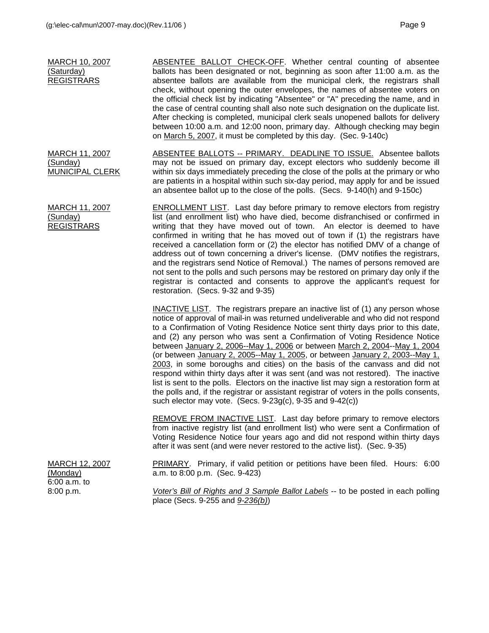| <b>MARCH 10, 2007</b><br>(Saturday)<br><b>REGISTRARS</b>    | ABSENTEE BALLOT CHECK-OFF. Whether central counting of absentee<br>ballots has been designated or not, beginning as soon after 11:00 a.m. as the<br>absentee ballots are available from the municipal clerk, the registrars shall<br>check, without opening the outer envelopes, the names of absentee voters on<br>the official check list by indicating "Absentee" or "A" preceding the name, and in<br>the case of central counting shall also note such designation on the duplicate list.<br>After checking is completed, municipal clerk seals unopened ballots for delivery<br>between 10:00 a.m. and 12:00 noon, primary day. Although checking may begin<br>on March 5, 2007, it must be completed by this day. (Sec. 9-140c)                                                                                                                                                                                                  |
|-------------------------------------------------------------|-----------------------------------------------------------------------------------------------------------------------------------------------------------------------------------------------------------------------------------------------------------------------------------------------------------------------------------------------------------------------------------------------------------------------------------------------------------------------------------------------------------------------------------------------------------------------------------------------------------------------------------------------------------------------------------------------------------------------------------------------------------------------------------------------------------------------------------------------------------------------------------------------------------------------------------------|
| <b>MARCH 11, 2007</b><br>(Sunday)<br><b>MUNICIPAL CLERK</b> | <b>ABSENTEE BALLOTS -- PRIMARY. DEADLINE TO ISSUE. Absentee ballots</b><br>may not be issued on primary day, except electors who suddenly become ill<br>within six days immediately preceding the close of the polls at the primary or who<br>are patients in a hospital within such six-day period, may apply for and be issued<br>an absentee ballot up to the close of the polls. (Secs. 9-140(h) and 9-150c)                                                                                                                                                                                                                                                                                                                                                                                                                                                                                                                        |
| MARCH 11, 2007<br>(Sunday)<br><b>REGISTRARS</b>             | <b>ENROLLMENT LIST.</b> Last day before primary to remove electors from registry<br>list (and enrollment list) who have died, become disfranchised or confirmed in<br>writing that they have moved out of town. An elector is deemed to have<br>confirmed in writing that he has moved out of town if (1) the registrars have<br>received a cancellation form or (2) the elector has notified DMV of a change of<br>address out of town concerning a driver's license. (DMV notifies the registrars,<br>and the registrars send Notice of Removal.) The names of persons removed are<br>not sent to the polls and such persons may be restored on primary day only if the<br>registrar is contacted and consents to approve the applicant's request for<br>restoration. (Secs. 9-32 and 9-35)                                                                                                                                           |
|                                                             | <b>INACTIVE LIST.</b> The registrars prepare an inactive list of (1) any person whose<br>notice of approval of mail-in was returned undeliverable and who did not respond<br>to a Confirmation of Voting Residence Notice sent thirty days prior to this date,<br>and (2) any person who was sent a Confirmation of Voting Residence Notice<br>between January 2, 2006--May 1, 2006 or between March 2, 2004--May 1, 2004<br>(or between January 2, 2005--May 1, 2005, or between January 2, 2003--May 1,<br>2003, in some boroughs and cities) on the basis of the canvass and did not<br>respond within thirty days after it was sent (and was not restored). The inactive<br>list is sent to the polls. Electors on the inactive list may sign a restoration form at<br>the polls and, if the registrar or assistant registrar of voters in the polls consents,<br>such elector may vote. (Secs. $9-23g(c)$ , $9-35$ and $9-42(c)$ ) |
|                                                             | <b>REMOVE FROM INACTIVE LIST.</b> Last day before primary to remove electors<br>from inactive registry list (and enrollment list) who were sent a Confirmation of<br>Voting Residence Notice four years ago and did not respond within thirty days<br>after it was sent (and were never restored to the active list). (Sec. 9-35)                                                                                                                                                                                                                                                                                                                                                                                                                                                                                                                                                                                                       |
| <b>MARCH 12, 2007</b><br>(Monday)<br>6:00 a.m. to           | PRIMARY. Primary, if valid petition or petitions have been filed. Hours: 6:00<br>a.m. to 8:00 p.m. (Sec. 9-423)                                                                                                                                                                                                                                                                                                                                                                                                                                                                                                                                                                                                                                                                                                                                                                                                                         |
| 8:00 p.m.                                                   | Voter's Bill of Rights and 3 Sample Ballot Labels -- to be posted in each polling<br>place (Secs. 9-255 and 9-236(b))                                                                                                                                                                                                                                                                                                                                                                                                                                                                                                                                                                                                                                                                                                                                                                                                                   |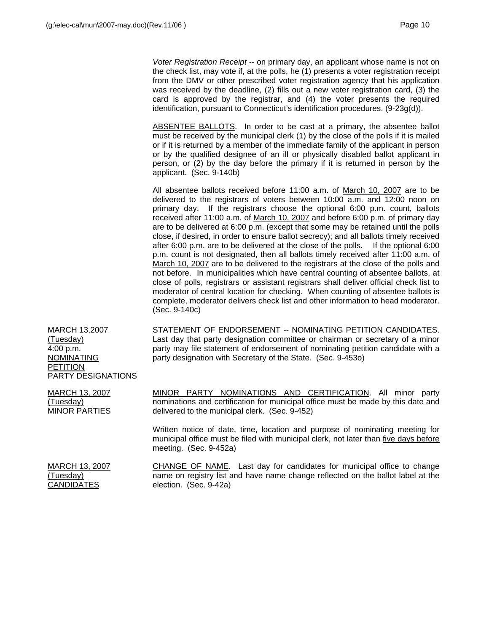*Voter Registration Receipt* -- on primary day, an applicant whose name is not on the check list, may vote if, at the polls, he (1) presents a voter registration receipt from the DMV or other prescribed voter registration agency that his application was received by the deadline, (2) fills out a new voter registration card, (3) the card is approved by the registrar, and (4) the voter presents the required identification, pursuant to Connecticut's identification procedures. (9-23g(d)).

ABSENTEE BALLOTS. In order to be cast at a primary, the absentee ballot must be received by the municipal clerk (1) by the close of the polls if it is mailed or if it is returned by a member of the immediate family of the applicant in person or by the qualified designee of an ill or physically disabled ballot applicant in person, or (2) by the day before the primary if it is returned in person by the applicant. (Sec. 9-140b)

All absentee ballots received before 11:00 a.m. of March 10, 2007 are to be delivered to the registrars of voters between 10:00 a.m. and 12:00 noon on primary day. If the registrars choose the optional 6:00 p.m. count, ballots received after 11:00 a.m. of March 10, 2007 and before 6:00 p.m. of primary day are to be delivered at 6:00 p.m. (except that some may be retained until the polls close, if desired, in order to ensure ballot secrecy); and all ballots timely received after 6:00 p.m. are to be delivered at the close of the polls. If the optional 6:00 p.m. count is not designated, then all ballots timely received after 11:00 a.m. of March 10, 2007 are to be delivered to the registrars at the close of the polls and not before. In municipalities which have central counting of absentee ballots, at close of polls, registrars or assistant registrars shall deliver official check list to moderator of central location for checking. When counting of absentee ballots is complete, moderator delivers check list and other information to head moderator. (Sec. 9-140c)

MARCH 13,2007 (Tuesday) 4:00 p.m. NOMINATING PETITION PARTY DESIGNATIONS STATEMENT OF ENDORSEMENT -- NOMINATING PETITION CANDIDATES. Last day that party designation committee or chairman or secretary of a minor party may file statement of endorsement of nominating petition candidate with a party designation with Secretary of the State. (Sec. 9-453o)

MINOR PARTY NOMINATIONS AND CERTIFICATION. All minor party nominations and certification for municipal office must be made by this date and delivered to the municipal clerk. (Sec. 9-452)

Written notice of date, time, location and purpose of nominating meeting for municipal office must be filed with municipal clerk, not later than five days before meeting. (Sec. 9-452a)

| <b>MARCH 13, 2007</b> |
|-----------------------|
| (Tuesday)             |
| <b>CANDIDATES</b>     |

MARCH 13, 2007

MINOR PARTIES

(Tuesday)

CHANGE OF NAME. Last day for candidates for municipal office to change name on registry list and have name change reflected on the ballot label at the election. (Sec. 9-42a)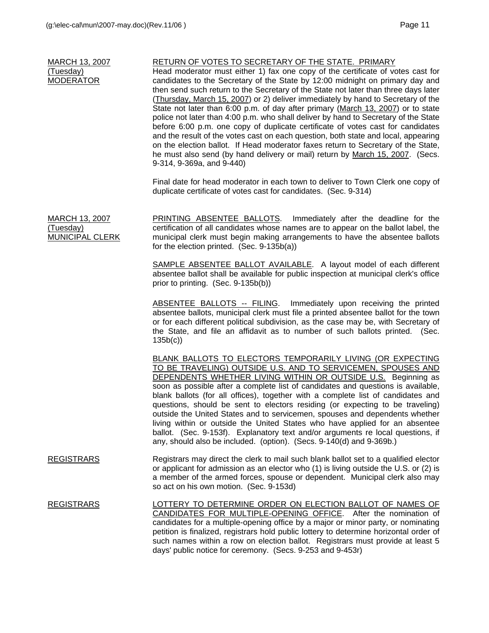| <b>MARCH 13, 2007</b> |
|-----------------------|
| (Tuesday)             |
| <b>MODERATOR</b>      |

## RETURN OF VOTES TO SECRETARY OF THE STATE. PRIMARY

Head moderator must either 1) fax one copy of the certificate of votes cast for candidates to the Secretary of the State by 12:00 midnight on primary day and then send such return to the Secretary of the State not later than three days later (Thursday, March 15, 2007) or 2) deliver immediately by hand to Secretary of the State not later than 6:00 p.m. of day after primary (March 13, 2007) or to state police not later than 4:00 p.m. who shall deliver by hand to Secretary of the State before 6:00 p.m. one copy of duplicate certificate of votes cast for candidates and the result of the votes cast on each question, both state and local, appearing on the election ballot. If Head moderator faxes return to Secretary of the State, he must also send (by hand delivery or mail) return by March 15, 2007. (Secs. 9-314, 9-369a, and 9-440)

Final date for head moderator in each town to deliver to Town Clerk one copy of duplicate certificate of votes cast for candidates. (Sec. 9-314)

MARCH 13, 2007 (Tuesday) MUNICIPAL CLERK PRINTING ABSENTEE BALLOTS. Immediately after the deadline for the certification of all candidates whose names are to appear on the ballot label, the municipal clerk must begin making arrangements to have the absentee ballots for the election printed. (Sec. 9-135b(a))

> SAMPLE ABSENTEE BALLOT AVAILABLE. A layout model of each different absentee ballot shall be available for public inspection at municipal clerk's office prior to printing. (Sec. 9-135b(b))

> ABSENTEE BALLOTS -- FILING. Immediately upon receiving the printed absentee ballots, municipal clerk must file a printed absentee ballot for the town or for each different political subdivision, as the case may be, with Secretary of the State, and file an affidavit as to number of such ballots printed. (Sec. 135b(c))

> BLANK BALLOTS TO ELECTORS TEMPORARILY LIVING (OR EXPECTING TO BE TRAVELING) OUTSIDE U.S. AND TO SERVICEMEN, SPOUSES AND DEPENDENTS WHETHER LIVING WITHIN OR OUTSIDE U.S. Beginning as soon as possible after a complete list of candidates and questions is available, blank ballots (for all offices), together with a complete list of candidates and questions, should be sent to electors residing (or expecting to be traveling) outside the United States and to servicemen, spouses and dependents whether living within or outside the United States who have applied for an absentee ballot. (Sec. 9-153f). Explanatory text and/or arguments re local questions, if any, should also be included. (option). (Secs. 9-140(d) and 9-369b.)

- REGISTRARS Registrars may direct the clerk to mail such blank ballot set to a qualified elector or applicant for admission as an elector who (1) is living outside the U.S. or (2) is a member of the armed forces, spouse or dependent. Municipal clerk also may so act on his own motion. (Sec. 9-153d)
- REGISTRARS LOTTERY TO DETERMINE ORDER ON ELECTION BALLOT OF NAMES OF CANDIDATES FOR MULTIPLE-OPENING OFFICE. After the nomination of candidates for a multiple-opening office by a major or minor party, or nominating petition is finalized, registrars hold public lottery to determine horizontal order of such names within a row on election ballot. Registrars must provide at least 5 days' public notice for ceremony. (Secs. 9-253 and 9-453r)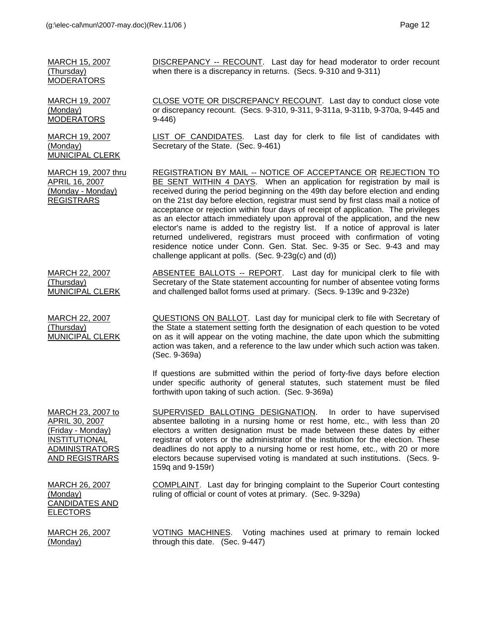9-446)

Secretary of the State. (Sec. 9-461)

DISCREPANCY -- RECOUNT. Last day for head moderator to order recount when there is a discrepancy in returns. (Secs. 9-310 and 9-311)

MARCH 19, 2007 (Monday) MODERATORS

MARCH 15, 2007 (Thursday) MODERATORS

MARCH 19, 2007 (Monday) MUNICIPAL CLERK

MARCH 19, 2007 thru APRIL 16, 2007 (Monday - Monday) REGISTRARS

REGISTRATION BY MAIL -- NOTICE OF ACCEPTANCE OR REJECTION TO BE SENT WITHIN 4 DAYS. When an application for registration by mail is received during the period beginning on the 49th day before election and ending on the 21st day before election, registrar must send by first class mail a notice of acceptance or rejection within four days of receipt of application. The privileges as an elector attach immediately upon approval of the application, and the new elector's name is added to the registry list. If a notice of approval is later returned undelivered, registrars must proceed with confirmation of voting residence notice under Conn. Gen. Stat. Sec. 9-35 or Sec. 9-43 and may challenge applicant at polls. (Sec. 9-23g(c) and (d))

CLOSE VOTE OR DISCREPANCY RECOUNT. Last day to conduct close vote or discrepancy recount. (Secs. 9-310, 9-311, 9-311a, 9-311b, 9-370a, 9-445 and

LIST OF CANDIDATES. Last day for clerk to file list of candidates with

MARCH 22, 2007 (Thursday) MUNICIPAL CLERK ABSENTEE BALLOTS -- REPORT. Last day for municipal clerk to file with Secretary of the State statement accounting for number of absentee voting forms and challenged ballot forms used at primary. (Secs. 9-139c and 9-232e)

MARCH 22, 2007 (Thursday) MUNICIPAL CLERK

QUESTIONS ON BALLOT. Last day for municipal clerk to file with Secretary of the State a statement setting forth the designation of each question to be voted on as it will appear on the voting machine, the date upon which the submitting action was taken, and a reference to the law under which such action was taken. (Sec. 9-369a)

If questions are submitted within the period of forty-five days before election under specific authority of general statutes, such statement must be filed forthwith upon taking of such action. (Sec. 9-369a)

MARCH 23, 2007 to APRIL 30, 2007 (Friday - Monday) **INSTITUTIONAL** ADMINISTRATORS AND REGISTRARS

SUPERVISED BALLOTING DESIGNATION. In order to have supervised absentee balloting in a nursing home or rest home, etc., with less than 20 electors a written designation must be made between these dates by either registrar of voters or the administrator of the institution for the election. These deadlines do not apply to a nursing home or rest home, etc., with 20 or more electors because supervised voting is mandated at such institutions. (Secs. 9- 159q and 9-159r)

COMPLAINT. Last day for bringing complaint to the Superior Court contesting ruling of official or count of votes at primary. (Sec. 9-329a)

MARCH 26, 2007 (Monday) CANDIDATES AND ELECTORS

MARCH 26, 2007 (Monday)

VOTING MACHINES. Voting machines used at primary to remain locked through this date. (Sec. 9-447)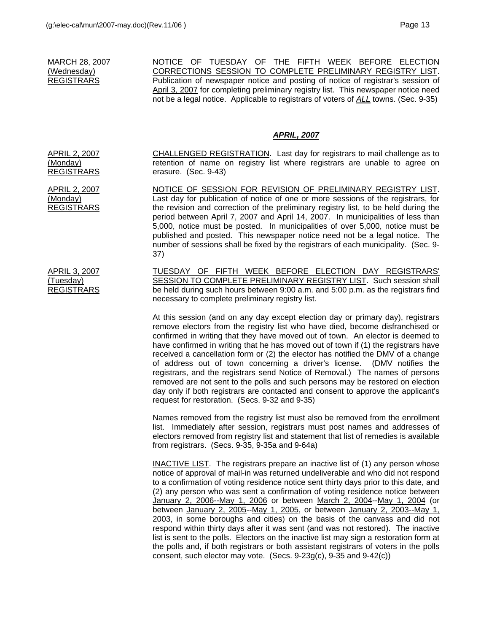MARCH 28, 2007 (Wednesday) REGISTRARS

NOTICE OF TUESDAY OF THE FIFTH WEEK BEFORE ELECTION CORRECTIONS SESSION TO COMPLETE PRELIMINARY REGISTRY LIST. Publication of newspaper notice and posting of notice of registrar's session of April 3, 2007 for completing preliminary registry list. This newspaper notice need not be a legal notice. Applicable to registrars of voters of *ALL* towns. (Sec. 9-35)

#### *APRIL, 2007*

CHALLENGED REGISTRATION. Last day for registrars to mail challenge as to retention of name on registry list where registrars are unable to agree on erasure. (Sec. 9-43)

APRIL 2, 2007 REGISTRARS NOTICE OF SESSION FOR REVISION OF PRELIMINARY REGISTRY LIST. Last day for publication of notice of one or more sessions of the registrars, for the revision and correction of the preliminary registry list, to be held during the period between April 7, 2007 and April 14, 2007. In municipalities of less than 5,000, notice must be posted. In municipalities of over 5,000, notice must be published and posted. This newspaper notice need not be a legal notice. The number of sessions shall be fixed by the registrars of each municipality. (Sec. 9- 37)

> TUESDAY OF FIFTH WEEK BEFORE ELECTION DAY REGISTRARS' SESSION TO COMPLETE PRELIMINARY REGISTRY LIST. Such session shall be held during such hours between 9:00 a.m. and 5:00 p.m. as the registrars find necessary to complete preliminary registry list.

At this session (and on any day except election day or primary day), registrars remove electors from the registry list who have died, become disfranchised or confirmed in writing that they have moved out of town. An elector is deemed to have confirmed in writing that he has moved out of town if (1) the registrars have received a cancellation form or (2) the elector has notified the DMV of a change of address out of town concerning a driver's license. (DMV notifies the registrars, and the registrars send Notice of Removal.) The names of persons removed are not sent to the polls and such persons may be restored on election day only if both registrars are contacted and consent to approve the applicant's request for restoration. (Secs. 9-32 and 9-35)

Names removed from the registry list must also be removed from the enrollment list. Immediately after session, registrars must post names and addresses of electors removed from registry list and statement that list of remedies is available from registrars. (Secs. 9-35, 9-35a and 9-64a)

INACTIVE LIST. The registrars prepare an inactive list of (1) any person whose notice of approval of mail-in was returned undeliverable and who did not respond to a confirmation of voting residence notice sent thirty days prior to this date, and (2) any person who was sent a confirmation of voting residence notice between January 2, 2006--May 1, 2006 or between March 2, 2004--May 1, 2004 (or between January 2, 2005--May 1, 2005, or between January 2, 2003--May 1, 2003, in some boroughs and cities) on the basis of the canvass and did not respond within thirty days after it was sent (and was not restored). The inactive list is sent to the polls. Electors on the inactive list may sign a restoration form at the polls and, if both registrars or both assistant registrars of voters in the polls consent, such elector may vote. (Secs. 9-23g(c), 9-35 and 9-42(c))

APRIL 2, 2007 (Monday) REGISTRARS

(Monday)

APRIL 3, 2007 (Tuesday) REGISTRARS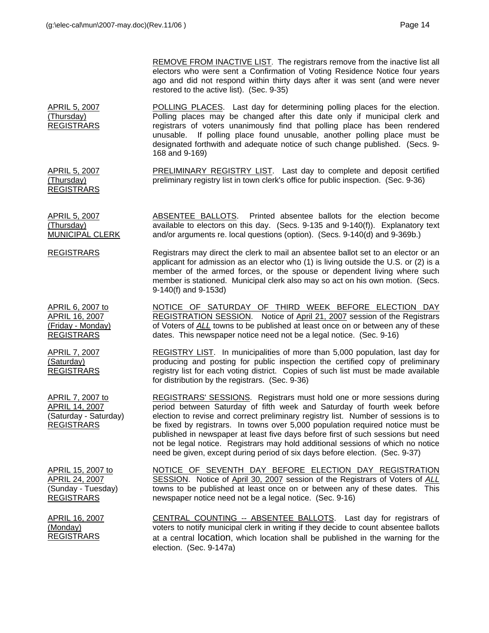REMOVE FROM INACTIVE LIST. The registrars remove from the inactive list all electors who were sent a Confirmation of Voting Residence Notice four years ago and did not respond within thirty days after it was sent (and were never restored to the active list). (Sec. 9-35)

APRIL 5, 2007 (Thursday) REGISTRARS POLLING PLACES. Last day for determining polling places for the election. Polling places may be changed after this date only if municipal clerk and registrars of voters unanimously find that polling place has been rendered unusable. If polling place found unusable, another polling place must be designated forthwith and adequate notice of such change published. (Secs. 9- 168 and 9-169)

> PRELIMINARY REGISTRY LIST. Last day to complete and deposit certified preliminary registry list in town clerk's office for public inspection. (Sec. 9-36)

(Thursday) REGISTRARS

APRIL 6, 2007 to APRIL 16, 2007 (Friday - Monday) REGISTRARS

APRIL 7, 2007 (Saturday) REGISTRARS

APRIL 7, 2007 to APRIL 14, 2007 (Saturday - Saturday) REGISTRARS

APRIL 5, 2007

APRIL 5, 2007 (Thursday) MUNICIPAL CLERK ABSENTEE BALLOTS. Printed absentee ballots for the election become available to electors on this day. (Secs. 9-135 and 9-140(f)). Explanatory text and/or arguments re. local questions (option). (Secs. 9-140(d) and 9-369b.)

REGISTRARS Registrars may direct the clerk to mail an absentee ballot set to an elector or an applicant for admission as an elector who (1) is living outside the U.S. or (2) is a member of the armed forces, or the spouse or dependent living where such member is stationed. Municipal clerk also may so act on his own motion. (Secs. 9-140(f) and 9-153d)

> NOTICE OF SATURDAY OF THIRD WEEK BEFORE ELECTION DAY REGISTRATION SESSION. Notice of April 21, 2007 session of the Registrars of Voters of *ALL* towns to be published at least once on or between any of these dates. This newspaper notice need not be a legal notice. (Sec. 9-16)

> REGISTRY LIST. In municipalities of more than 5,000 population, last day for producing and posting for public inspection the certified copy of preliminary registry list for each voting district. Copies of such list must be made available for distribution by the registrars. (Sec. 9-36)

> REGISTRARS' SESSIONS. Registrars must hold one or more sessions during period between Saturday of fifth week and Saturday of fourth week before election to revise and correct preliminary registry list. Number of sessions is to be fixed by registrars. In towns over 5,000 population required notice must be published in newspaper at least five days before first of such sessions but need not be legal notice. Registrars may hold additional sessions of which no notice need be given, except during period of six days before election. (Sec. 9-37)

APRIL 15, 2007 to APRIL 24, 2007 (Sunday - Tuesday) REGISTRARS

APRIL 16, 2007 (Monday) REGISTRARS

NOTICE OF SEVENTH DAY BEFORE ELECTION DAY REGISTRATION SESSION. Notice of April 30, 2007 session of the Registrars of Voters of *ALL* towns to be published at least once on or between any of these dates. This newspaper notice need not be a legal notice. (Sec. 9-16)

CENTRAL COUNTING -- ABSENTEE BALLOTS. Last day for registrars of voters to notify municipal clerk in writing if they decide to count absentee ballots at a central location, which location shall be published in the warning for the election. (Sec. 9-147a)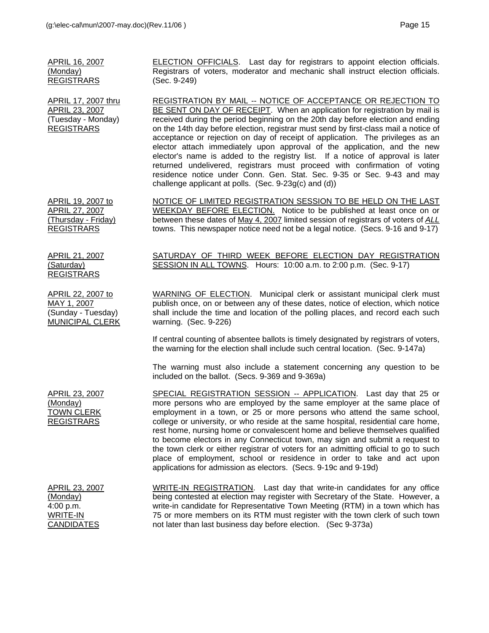APRIL 16, 2007

WRITE-IN **CANDIDATES** 

| (Monday)<br><b>REGISTRARS</b>                                                    | Registrars of voters, moderator and mechanic shall instruct election officials.<br>(Sec. 9-249)                                                                                                                                                                                                                                                                                                                                                                                                                                                                                                                                                                                                                                                                                       |
|----------------------------------------------------------------------------------|---------------------------------------------------------------------------------------------------------------------------------------------------------------------------------------------------------------------------------------------------------------------------------------------------------------------------------------------------------------------------------------------------------------------------------------------------------------------------------------------------------------------------------------------------------------------------------------------------------------------------------------------------------------------------------------------------------------------------------------------------------------------------------------|
| APRIL 17, 2007 thru<br>APRIL 23, 2007<br>(Tuesday - Monday)<br><b>REGISTRARS</b> | REGISTRATION BY MAIL -- NOTICE OF ACCEPTANCE OR REJECTION TO<br>BE SENT ON DAY OF RECEIPT. When an application for registration by mail is<br>received during the period beginning on the 20th day before election and ending<br>on the 14th day before election, registrar must send by first-class mail a notice of<br>acceptance or rejection on day of receipt of application. The privileges as an<br>elector attach immediately upon approval of the application, and the new<br>elector's name is added to the registry list. If a notice of approval is later<br>returned undelivered, registrars must proceed with confirmation of voting<br>residence notice under Conn. Gen. Stat. Sec. 9-35 or Sec. 9-43 and may<br>challenge applicant at polls. (Sec. 9-23g(c) and (d)) |
| APRIL 19, 2007 to<br>APRIL 27, 2007<br>(Thursday - Friday)<br><b>REGISTRARS</b>  | NOTICE OF LIMITED REGISTRATION SESSION TO BE HELD ON THE LAST<br>WEEKDAY BEFORE ELECTION. Notice to be published at least once on or<br>between these dates of May 4, 2007 limited session of registrars of voters of ALL<br>towns. This newspaper notice need not be a legal notice. (Secs. 9-16 and 9-17)                                                                                                                                                                                                                                                                                                                                                                                                                                                                           |
| <u>APRIL 21, 2007</u><br>(Saturday)<br><b>REGISTRARS</b>                         | SATURDAY OF THIRD WEEK BEFORE ELECTION DAY REGISTRATION<br>SESSION IN ALL TOWNS. Hours: 10:00 a.m. to 2:00 p.m. (Sec. 9-17)                                                                                                                                                                                                                                                                                                                                                                                                                                                                                                                                                                                                                                                           |
| APRIL 22, 2007 to<br>MAY 1, 2007<br>(Sunday - Tuesday)<br>MUNICIPAL CLERK        | WARNING OF ELECTION. Municipal clerk or assistant municipal clerk must<br>publish once, on or between any of these dates, notice of election, which notice<br>shall include the time and location of the polling places, and record each such<br>warning. (Sec. 9-226)                                                                                                                                                                                                                                                                                                                                                                                                                                                                                                                |
|                                                                                  | If central counting of absentee ballots is timely designated by registrars of voters,<br>the warning for the election shall include such central location. (Sec. 9-147a)                                                                                                                                                                                                                                                                                                                                                                                                                                                                                                                                                                                                              |
|                                                                                  | The warning must also include a statement concerning any question to be<br>included on the ballot. (Secs. 9-369 and 9-369a)                                                                                                                                                                                                                                                                                                                                                                                                                                                                                                                                                                                                                                                           |
| APRIL 23, 2007<br>(Monday)<br><b>TOWN CLERK</b><br><b>REGISTRARS</b>             | SPECIAL REGISTRATION SESSION -- APPLICATION. Last day that 25 or<br>more persons who are employed by the same employer at the same place of<br>employment in a town, or 25 or more persons who attend the same school,<br>college or university, or who reside at the same hospital, residential care home,<br>rest home, nursing home or convalescent home and believe themselves qualified<br>to become electors in any Connecticut town, may sign and submit a request to<br>the town clerk or either registrar of voters for an admitting official to go to such<br>place of employment, school or residence in order to take and act upon<br>applications for admission as electors. (Secs. 9-19c and 9-19d)                                                                     |
| APRIL 23, 2007<br>(Monday)<br>4:00 p.m.                                          | WRITE-IN REGISTRATION. Last day that write-in candidates for any office<br>being contested at election may register with Secretary of the State. However, a<br>write-in candidate for Representative Town Meeting (RTM) in a town which has                                                                                                                                                                                                                                                                                                                                                                                                                                                                                                                                           |

ELECTION OFFICIALS. Last day for registrars to appoint election officials.

75 or more members on its RTM must register with the town clerk of such town

not later than last business day before election. (Sec 9-373a)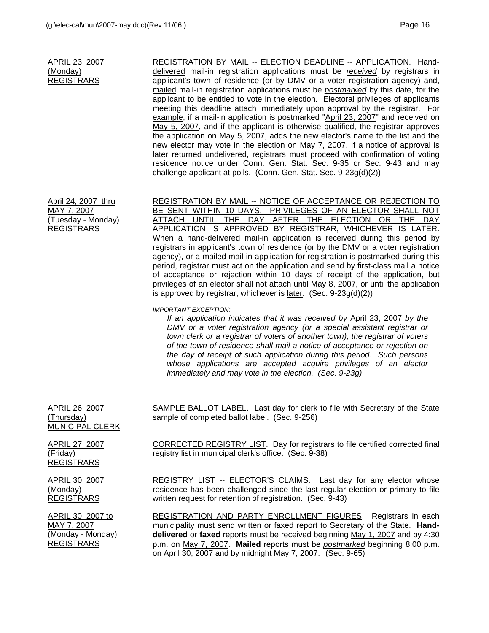APRIL 23, 2007 (Monday) REGISTRARS REGISTRATION BY MAIL -- ELECTION DEADLINE -- APPLICATION. Handdelivered mail-in registration applications must be *received* by registrars in applicant's town of residence (or by DMV or a voter registration agency) and, mailed mail-in registration applications must be *postmarked* by this date, for the applicant to be entitled to vote in the election. Electoral privileges of applicants meeting this deadline attach immediately upon approval by the registrar. For example, if a mail-in application is postmarked "April 23, 2007" and received on May 5, 2007, and if the applicant is otherwise qualified, the registrar approves the application on May 5, 2007, adds the new elector's name to the list and the new elector may vote in the election on May 7, 2007. If a notice of approval is later returned undelivered, registrars must proceed with confirmation of voting residence notice under Conn. Gen. Stat. Sec. 9-35 or Sec. 9-43 and may challenge applicant at polls. (Conn. Gen. Stat. Sec. 9-23g(d)(2)) April 24, 2007 thru MAY 7, 2007 (Tuesday - Monday) REGISTRARS REGISTRATION BY MAIL -- NOTICE OF ACCEPTANCE OR REJECTION TO BE SENT WITHIN 10 DAYS. PRIVILEGES OF AN ELECTOR SHALL NOT ATTACH UNTIL THE DAY AFTER THE ELECTION OR THE DAY APPLICATION IS APPROVED BY REGISTRAR, WHICHEVER IS LATER. When a hand-delivered mail-in application is received during this period by registrars in applicant's town of residence (or by the DMV or a voter registration agency), or a mailed mail-in application for registration is postmarked during this period, registrar must act on the application and send by first-class mail a notice of acceptance or rejection within 10 days of receipt of the application, but privileges of an elector shall not attach until May 8, 2007, or until the application is approved by registrar, whichever is  $later.$  (Sec. 9-23g(d)(2)) *IMPORTANT EXCEPTION: If an application indicates that it was received by* April 23, 2007 *by the DMV or a voter registration agency (or a special assistant registrar or town clerk or a registrar of voters of another town), the registrar of voters of the town of residence shall mail a notice of acceptance or rejection on the day of receipt of such application during this period. Such persons whose applications are accepted acquire privileges of an elector immediately and may vote in the election. (Sec. 9-23g)* APRIL 26, 2007 (Thursday) MUNICIPAL CLERK SAMPLE BALLOT LABEL. Last day for clerk to file with Secretary of the State sample of completed ballot label. (Sec. 9-256) APRIL 27, 2007 (Friday) **REGISTRARS** CORRECTED REGISTRY LIST. Day for registrars to file certified corrected final registry list in municipal clerk's office. (Sec. 9-38) APRIL 30, 2007 (Monday) REGISTRARS REGISTRY LIST -- ELECTOR'S CLAIMS. Last day for any elector whose residence has been challenged since the last regular election or primary to file written request for retention of registration. (Sec. 9-43) APRIL 30, 2007 to MAY 7, 2007 (Monday - Monday) REGISTRARS REGISTRATION AND PARTY ENROLLMENT FIGURES. Registrars in each municipality must send written or faxed report to Secretary of the State. **Handdelivered** or **faxed** reports must be received beginning May 1, 2007 and by 4:30 p.m. on May 7, 2007. **Mailed** reports must be *postmarked* beginning 8:00 p.m.

on April 30, 2007 and by midnight May 7, 2007. (Sec. 9-65)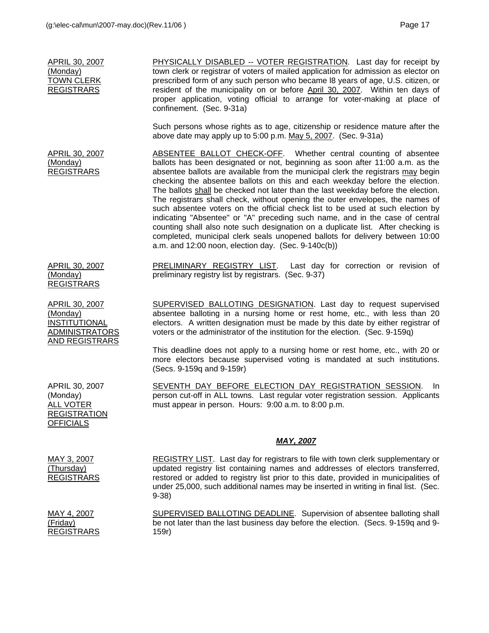| APRIL 30, 2007<br>(Monday)<br><b>TOWN CLERK</b><br><b>REGISTRARS</b>                                 | PHYSICALLY DISABLED -- VOTER REGISTRATION. Last day for receipt by<br>town clerk or registrar of voters of mailed application for admission as elector on<br>prescribed form of any such person who became I8 years of age, U.S. citizen, or<br>resident of the municipality on or before April 30, 2007. Within ten days of<br>proper application, voting official to arrange for voter-making at place of<br>confinement. (Sec. 9-31a)                                                                                                                                                                                                                                                                                                                                                                                                                                               |
|------------------------------------------------------------------------------------------------------|----------------------------------------------------------------------------------------------------------------------------------------------------------------------------------------------------------------------------------------------------------------------------------------------------------------------------------------------------------------------------------------------------------------------------------------------------------------------------------------------------------------------------------------------------------------------------------------------------------------------------------------------------------------------------------------------------------------------------------------------------------------------------------------------------------------------------------------------------------------------------------------|
|                                                                                                      | Such persons whose rights as to age, citizenship or residence mature after the<br>above date may apply up to 5:00 p.m. May 5, 2007. (Sec. 9-31a)                                                                                                                                                                                                                                                                                                                                                                                                                                                                                                                                                                                                                                                                                                                                       |
| <b>APRIL 30, 2007</b><br>(Monday)<br><b>REGISTRARS</b>                                               | ABSENTEE BALLOT CHECK-OFF. Whether central counting of absentee<br>ballots has been designated or not, beginning as soon after 11:00 a.m. as the<br>absentee ballots are available from the municipal clerk the registrars may begin<br>checking the absentee ballots on this and each weekday before the election.<br>The ballots shall be checked not later than the last weekday before the election.<br>The registrars shall check, without opening the outer envelopes, the names of<br>such absentee voters on the official check list to be used at such election by<br>indicating "Absentee" or "A" preceding such name, and in the case of central<br>counting shall also note such designation on a duplicate list. After checking is<br>completed, municipal clerk seals unopened ballots for delivery between 10:00<br>a.m. and 12:00 noon, election day. (Sec. 9-140c(b)) |
| APRIL 30, 2007<br>(Monday)<br><b>REGISTRARS</b>                                                      | PRELIMINARY REGISTRY LIST. Last day for correction or revision of<br>preliminary registry list by registrars. (Sec. 9-37)                                                                                                                                                                                                                                                                                                                                                                                                                                                                                                                                                                                                                                                                                                                                                              |
| <b>APRIL 30, 2007</b><br>(Monday)<br>INSTITUTIONAL<br><b>ADMINISTRATORS</b><br><b>AND REGISTRARS</b> | <b>SUPERVISED BALLOTING DESIGNATION.</b> Last day to request supervised<br>absentee balloting in a nursing home or rest home, etc., with less than 20<br>electors. A written designation must be made by this date by either registrar of<br>voters or the administrator of the institution for the election. (Sec. 9-159q)                                                                                                                                                                                                                                                                                                                                                                                                                                                                                                                                                            |
|                                                                                                      | This deadline does not apply to a nursing home or rest home, etc., with 20 or<br>more electors because supervised voting is mandated at such institutions.<br>(Secs. 9-159q and 9-159r)                                                                                                                                                                                                                                                                                                                                                                                                                                                                                                                                                                                                                                                                                                |
| APRIL 30, 2007<br>(Monday)<br><b>ALL VOTER</b><br><b>REGISTRATION</b><br><b>OFFICIALS</b>            | SEVENTH DAY BEFORE ELECTION DAY REGISTRATION SESSION. In<br>person cut-off in ALL towns. Last regular voter registration session. Applicants<br>must appear in person. Hours: 9:00 a.m. to 8:00 p.m.                                                                                                                                                                                                                                                                                                                                                                                                                                                                                                                                                                                                                                                                                   |
|                                                                                                      | <u>MAY, 2007</u>                                                                                                                                                                                                                                                                                                                                                                                                                                                                                                                                                                                                                                                                                                                                                                                                                                                                       |
| MAY 3, 2007<br>(Thursday)<br><b>REGISTRARS</b>                                                       | REGISTRY LIST. Last day for registrars to file with town clerk supplementary or<br>updated registry list containing names and addresses of electors transferred,<br>restored or added to registry list prior to this date, provided in municipalities of<br>under 25,000, such additional names may be inserted in writing in final list. (Sec.<br>$9-38$                                                                                                                                                                                                                                                                                                                                                                                                                                                                                                                              |
| MAY 4, 2007<br>(Friday)<br><b>REGISTRARS</b>                                                         | <b>SUPERVISED BALLOTING DEADLINE.</b> Supervision of absentee balloting shall<br>be not later than the last business day before the election. (Secs. 9-159q and 9-<br>159r)                                                                                                                                                                                                                                                                                                                                                                                                                                                                                                                                                                                                                                                                                                            |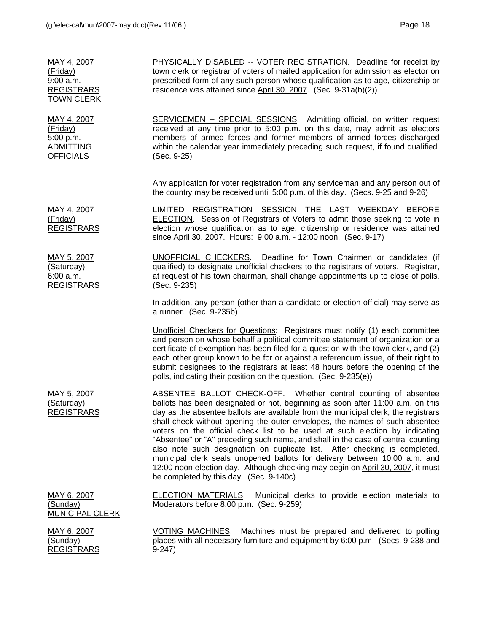| MAY 4, 2007<br>(Friday)<br>$9:00$ a.m.<br><b>REGISTRARS</b><br><b>TOWN CLERK</b> | PHYSICALLY DISABLED -- VOTER REGISTRATION. Deadline for receipt by<br>town clerk or registrar of voters of mailed application for admission as elector on<br>prescribed form of any such person whose qualification as to age, citizenship or<br>residence was attained since April 30, 2007. (Sec. 9-31a(b)(2))                                                                                                                                                                                                                                                                                                                                                                                                                                                                    |
|----------------------------------------------------------------------------------|-------------------------------------------------------------------------------------------------------------------------------------------------------------------------------------------------------------------------------------------------------------------------------------------------------------------------------------------------------------------------------------------------------------------------------------------------------------------------------------------------------------------------------------------------------------------------------------------------------------------------------------------------------------------------------------------------------------------------------------------------------------------------------------|
| MAY 4, 2007<br>(Friday)<br>5:00 p.m.<br><b>ADMITTING</b><br><b>OFFICIALS</b>     | SERVICEMEN -- SPECIAL SESSIONS. Admitting official, on written request<br>received at any time prior to 5:00 p.m. on this date, may admit as electors<br>members of armed forces and former members of armed forces discharged<br>within the calendar year immediately preceding such request, if found qualified.<br>(Sec. 9-25)                                                                                                                                                                                                                                                                                                                                                                                                                                                   |
|                                                                                  | Any application for voter registration from any serviceman and any person out of<br>the country may be received until 5:00 p.m. of this day. (Secs. 9-25 and 9-26)                                                                                                                                                                                                                                                                                                                                                                                                                                                                                                                                                                                                                  |
| MAY 4, 2007<br>(Friday)<br><b>REGISTRARS</b>                                     | LIMITED REGISTRATION SESSION THE LAST WEEKDAY BEFORE<br>ELECTION. Session of Registrars of Voters to admit those seeking to vote in<br>election whose qualification as to age, citizenship or residence was attained<br>since April 30, 2007. Hours: 9:00 a.m. - 12:00 noon. (Sec. 9-17)                                                                                                                                                                                                                                                                                                                                                                                                                                                                                            |
| MAY 5, 2007<br>(Saturday)<br>6:00 a.m.<br><b>REGISTRARS</b>                      | <b>UNOFFICIAL CHECKERS.</b> Deadline for Town Chairmen or candidates (if<br>qualified) to designate unofficial checkers to the registrars of voters. Registrar,<br>at request of his town chairman, shall change appointments up to close of polls.<br>(Sec. 9-235)                                                                                                                                                                                                                                                                                                                                                                                                                                                                                                                 |
|                                                                                  | In addition, any person (other than a candidate or election official) may serve as<br>a runner. (Sec. 9-235b)                                                                                                                                                                                                                                                                                                                                                                                                                                                                                                                                                                                                                                                                       |
|                                                                                  | <b>Unofficial Checkers for Questions:</b> Registrars must notify (1) each committee<br>and person on whose behalf a political committee statement of organization or a<br>certificate of exemption has been filed for a question with the town clerk, and (2)<br>each other group known to be for or against a referendum issue, of their right to<br>submit designees to the registrars at least 48 hours before the opening of the<br>polls, indicating their position on the question. (Sec. 9-235(e))                                                                                                                                                                                                                                                                           |
| MAY 5, 2007<br>(Saturday)<br><b>REGISTRARS</b>                                   | ABSENTEE BALLOT CHECK-OFF. Whether central counting of absentee<br>ballots has been designated or not, beginning as soon after 11:00 a.m. on this<br>day as the absentee ballots are available from the municipal clerk, the registrars<br>shall check without opening the outer envelopes, the names of such absentee<br>voters on the official check list to be used at such election by indicating<br>"Absentee" or "A" preceding such name, and shall in the case of central counting<br>also note such designation on duplicate list. After checking is completed,<br>municipal clerk seals unopened ballots for delivery between 10:00 a.m. and<br>12:00 noon election day. Although checking may begin on April 30, 2007, it must<br>be completed by this day. (Sec. 9-140c) |
| MAY 6, 2007<br>(Sunday)<br><b>MUNICIPAL CLERK</b>                                | <u>ELECTION MATERIALS.</u><br>Municipal clerks to provide election materials to<br>Moderators before 8:00 p.m. (Sec. 9-259)                                                                                                                                                                                                                                                                                                                                                                                                                                                                                                                                                                                                                                                         |
| MAY 6, 2007<br>(Sunday)<br><b>REGISTRARS</b>                                     | VOTING MACHINES.<br>Machines must be prepared and delivered to polling<br>places with all necessary furniture and equipment by 6:00 p.m. (Secs. 9-238 and<br>$9-247$                                                                                                                                                                                                                                                                                                                                                                                                                                                                                                                                                                                                                |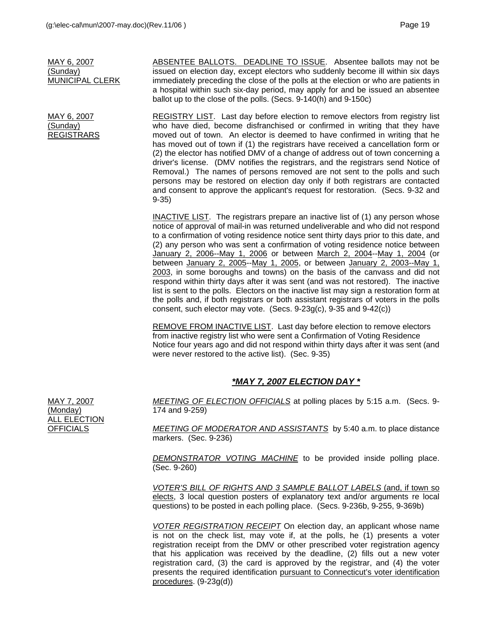MAY 6, 2007 (Sunday) MUNICIPAL CLERK

MAY 6, 2007 (Sunday) REGISTRARS

ABSENTEE BALLOTS. DEADLINE TO ISSUE. Absentee ballots may not be issued on election day, except electors who suddenly become ill within six days immediately preceding the close of the polls at the election or who are patients in a hospital within such six-day period, may apply for and be issued an absentee ballot up to the close of the polls. (Secs. 9-140(h) and 9-150c)

REGISTRY LIST. Last day before election to remove electors from registry list who have died, become disfranchised or confirmed in writing that they have moved out of town. An elector is deemed to have confirmed in writing that he has moved out of town if (1) the registrars have received a cancellation form or (2) the elector has notified DMV of a change of address out of town concerning a driver's license. (DMV notifies the registrars, and the registrars send Notice of Removal.) The names of persons removed are not sent to the polls and such persons may be restored on election day only if both registrars are contacted and consent to approve the applicant's request for restoration. (Secs. 9-32 and 9-35)

INACTIVE LIST. The registrars prepare an inactive list of (1) any person whose notice of approval of mail-in was returned undeliverable and who did not respond to a confirmation of voting residence notice sent thirty days prior to this date, and (2) any person who was sent a confirmation of voting residence notice between January 2, 2006--May 1, 2006 or between March 2, 2004--May 1, 2004 (or between January 2, 2005--May 1, 2005, or between January 2, 2003--May 1, 2003, in some boroughs and towns) on the basis of the canvass and did not respond within thirty days after it was sent (and was not restored). The inactive list is sent to the polls. Electors on the inactive list may sign a restoration form at the polls and, if both registrars or both assistant registrars of voters in the polls consent, such elector may vote. (Secs. 9-23g(c), 9-35 and 9-42(c))

REMOVE FROM INACTIVE LIST. Last day before election to remove electors from inactive registry list who were sent a Confirmation of Voting Residence Notice four years ago and did not respond within thirty days after it was sent (and were never restored to the active list). (Sec. 9-35)

## *\*MAY 7, 2007 ELECTION DAY \**

*MEETING OF ELECTION OFFICIALS* at polling places by 5:15 a.m. (Secs. 9- 174 and 9-259)

*MEETING OF MODERATOR AND ASSISTANTS* by 5:40 a.m. to place distance markers. (Sec. 9-236)

*DEMONSTRATOR VOTING MACHINE* to be provided inside polling place. (Sec. 9-260)

*VOTER'S BILL OF RIGHTS AND 3 SAMPLE BALLOT LABELS* (and, if town so elects, 3 local question posters of explanatory text and/or arguments re local questions) to be posted in each polling place. (Secs. 9-236b, 9-255, 9-369b)

*VOTER REGISTRATION RECEIPT* On election day, an applicant whose name is not on the check list, may vote if, at the polls, he (1) presents a voter registration receipt from the DMV or other prescribed voter registration agency that his application was received by the deadline, (2) fills out a new voter registration card, (3) the card is approved by the registrar, and (4) the voter presents the required identification pursuant to Connecticut's voter identification procedures. (9-23g(d))

MAY 7, 2007 (Monday) ALL ELECTION **OFFICIALS**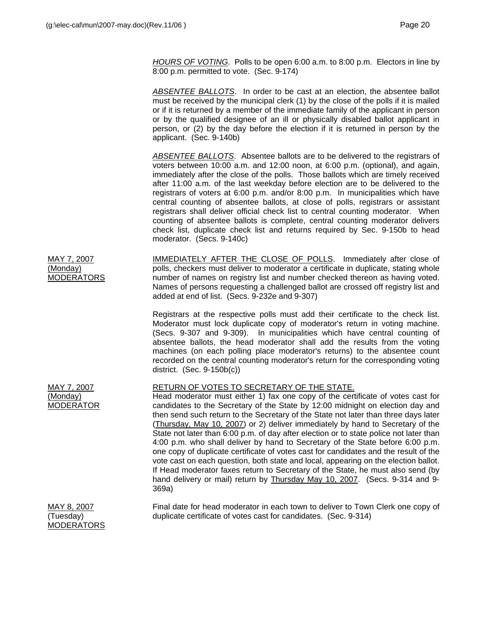*HOURS OF VOTING*. Polls to be open 6:00 a.m. to 8:00 p.m. Electors in line by 8:00 p.m. permitted to vote. (Sec. 9-174)

*ABSENTEE BALLOTS*. In order to be cast at an election, the absentee ballot must be received by the municipal clerk (1) by the close of the polls if it is mailed or if it is returned by a member of the immediate family of the applicant in person or by the qualified designee of an ill or physically disabled ballot applicant in person, or (2) by the day before the election if it is returned in person by the applicant. (Sec. 9-140b)

*ABSENTEE BALLOTS*. Absentee ballots are to be delivered to the registrars of voters between 10:00 a.m. and 12:00 noon, at 6:00 p.m. (optional), and again, immediately after the close of the polls. Those ballots which are timely received after 11:00 a.m. of the last weekday before election are to be delivered to the registrars of voters at 6:00 p.m. and/or 8:00 p.m. In municipalities which have central counting of absentee ballots, at close of polls, registrars or assistant registrars shall deliver official check list to central counting moderator. When counting of absentee ballots is complete, central counting moderator delivers check list, duplicate check list and returns required by Sec. 9-150b to head moderator. (Secs. 9-140c)

MAY 7, 2007 (Monday) MODERATORS IMMEDIATELY AFTER THE CLOSE OF POLLS. Immediately after close of polls, checkers must deliver to moderator a certificate in duplicate, stating whole number of names on registry list and number checked thereon as having voted. Names of persons requesting a challenged ballot are crossed off registry list and added at end of list. (Secs. 9-232e and 9-307)

> Registrars at the respective polls must add their certificate to the check list. Moderator must lock duplicate copy of moderator's return in voting machine. (Secs. 9-307 and 9-309). In municipalities which have central counting of absentee ballots, the head moderator shall add the results from the voting machines (on each polling place moderator's returns) to the absentee count recorded on the central counting moderator's return for the corresponding voting district. (Sec. 9-150b(c))

## RETURN OF VOTES TO SECRETARY OF THE STATE.

Head moderator must either 1) fax one copy of the certificate of votes cast for candidates to the Secretary of the State by 12:00 midnight on election day and then send such return to the Secretary of the State not later than three days later (Thursday, May 10, 2007) or 2) deliver immediately by hand to Secretary of the State not later than 6:00 p.m. of day after election or to state police not later than 4:00 p.m. who shall deliver by hand to Secretary of the State before 6:00 p.m. one copy of duplicate certificate of votes cast for candidates and the result of the vote cast on each question, both state and local, appearing on the election ballot. If Head moderator faxes return to Secretary of the State, he must also send (by hand delivery or mail) return by Thursday May 10, 2007. (Secs. 9-314 and 9- 369a)

MAY 8, 2007 (Tuesday) MODERATORS

MAY 7, 2007 (Monday) MODERATOR

> Final date for head moderator in each town to deliver to Town Clerk one copy of duplicate certificate of votes cast for candidates. (Sec. 9-314)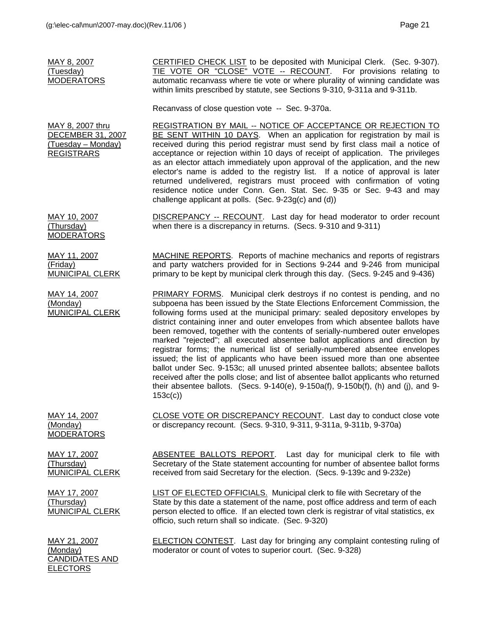| MAY 8, 2007<br>(Tuesday)<br><b>MODERATORS</b>                                           | CERTIFIED CHECK LIST to be deposited with Municipal Clerk. (Sec. 9-307).<br>TIE VOTE OR "CLOSE" VOTE -- RECOUNT. For provisions relating to<br>automatic recanvass where tie vote or where plurality of winning candidate was<br>within limits prescribed by statute, see Sections 9-310, 9-311a and 9-311b.                                                                                                                                                                                                                                                                                                                                                                                         |
|-----------------------------------------------------------------------------------------|------------------------------------------------------------------------------------------------------------------------------------------------------------------------------------------------------------------------------------------------------------------------------------------------------------------------------------------------------------------------------------------------------------------------------------------------------------------------------------------------------------------------------------------------------------------------------------------------------------------------------------------------------------------------------------------------------|
|                                                                                         | Recanvass of close question vote -- Sec. 9-370a.                                                                                                                                                                                                                                                                                                                                                                                                                                                                                                                                                                                                                                                     |
| MAY 8, 2007 thru<br><b>DECEMBER 31, 2007</b><br>(Tuesday – Monday)<br><b>REGISTRARS</b> | REGISTRATION BY MAIL -- NOTICE OF ACCEPTANCE OR REJECTION TO<br>BE SENT WITHIN 10 DAYS. When an application for registration by mail is<br>received during this period registrar must send by first class mail a notice of<br>acceptance or rejection within 10 days of receipt of application. The privileges<br>as an elector attach immediately upon approval of the application, and the new<br>elector's name is added to the registry list. If a notice of approval is later<br>returned undelivered, registrars must proceed with confirmation of voting<br>residence notice under Conn. Gen. Stat. Sec. 9-35 or Sec. 9-43 and may<br>challenge applicant at polls. (Sec. $9-23g(c)$ and (d)) |
| MAY 10, 2007<br>(Thursday)<br><b>MODERATORS</b>                                         | DISCREPANCY -- RECOUNT. Last day for head moderator to order recount<br>when there is a discrepancy in returns. (Secs. 9-310 and 9-311)                                                                                                                                                                                                                                                                                                                                                                                                                                                                                                                                                              |
| MAY 11, 2007<br>(Friday)<br>MUNICIPAL CLERK                                             | MACHINE REPORTS. Reports of machine mechanics and reports of registrars<br>and party watchers provided for in Sections 9-244 and 9-246 from municipal<br>primary to be kept by municipal clerk through this day. (Secs. 9-245 and 9-436)                                                                                                                                                                                                                                                                                                                                                                                                                                                             |
| MAY 14, 2007<br>(Monday)<br><b>MUNICIPAL CLERK</b>                                      | PRIMARY FORMS. Municipal clerk destroys if no contest is pending, and no<br>subpoena has been issued by the State Elections Enforcement Commission, the<br>following forms used at the municipal primary: sealed depository envelopes by<br>district containing inner and outer envelopes from which absentee ballots have<br>been removed, together with the contents of serially-numbered outer envelopes<br>marked "rejected"; all executed absentee ballot applications and direction by<br>registrar forms; the numerical list of serially-numbered absentee envelopes<br>issued; the list of applicants who have been issued more than one absentee                                            |

MAY 14, 2007 (Monday) MODERATORS

MAY 17, 2007 (Thursday) MUNICIPAL CLERK

ABSENTEE BALLOTS REPORT. Last day for municipal clerk to file with Secretary of the State statement accounting for number of absentee ballot forms received from said Secretary for the election. (Secs. 9-139c and 9-232e)

ballot under Sec. 9-153c; all unused printed absentee ballots; absentee ballots received after the polls close; and list of absentee ballot applicants who returned their absentee ballots. (Secs. 9-140(e), 9-150a(f), 9-150b(f), (h) and (j), and 9-

CLOSE VOTE OR DISCREPANCY RECOUNT. Last day to conduct close vote

or discrepancy recount. (Secs. 9-310, 9-311, 9-311a, 9-311b, 9-370a)

MAY 17, 2007 (Thursday) MUNICIPAL CLERK LIST OF ELECTED OFFICIALS. Municipal clerk to file with Secretary of the State by this date a statement of the name, post office address and term of each person elected to office. If an elected town clerk is registrar of vital statistics, ex

153c(c))

MAY 21, 2007 (Monday) CANDIDATES AND **ELECTORS** 

officio, such return shall so indicate. (Sec. 9-320)

ELECTION CONTEST. Last day for bringing any complaint contesting ruling of moderator or count of votes to superior court. (Sec. 9-328)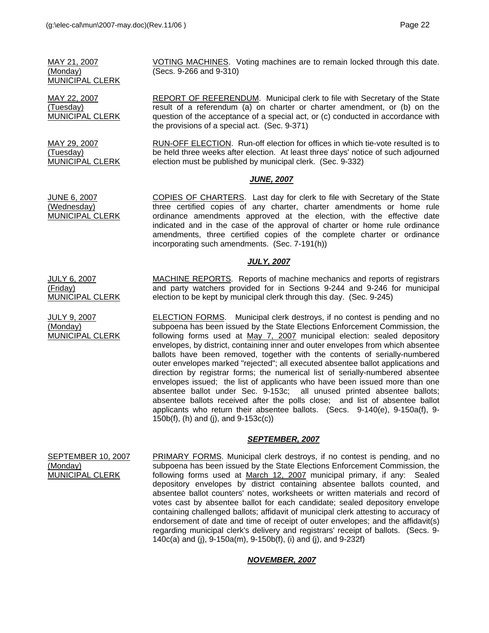MAY 21, 2007 (Monday) MUNICIPAL CLERK

MAY 22, 2007 (Tuesday) MUNICIPAL CLERK

MAY 29, 2007 (Tuesday) MUNICIPAL CLERK

JULY 9, 2007 (Monday)

MUNICIPAL CLERK

VOTING MACHINES. Voting machines are to remain locked through this date. (Secs. 9-266 and 9-310)

REPORT OF REFERENDUM. Municipal clerk to file with Secretary of the State result of a referendum (a) on charter or charter amendment, or (b) on the question of the acceptance of a special act, or (c) conducted in accordance with the provisions of a special act. (Sec. 9-371)

RUN-OFF ELECTION. Run-off election for offices in which tie-vote resulted is to be held three weeks after election. At least three days' notice of such adjourned election must be published by municipal clerk. (Sec. 9-332)

#### *JUNE, 2007*

JUNE 6, 2007 (Wednesday) MUNICIPAL CLERK COPIES OF CHARTERS. Last day for clerk to file with Secretary of the State three certified copies of any charter, charter amendments or home rule ordinance amendments approved at the election, with the effective date indicated and in the case of the approval of charter or home rule ordinance amendments, three certified copies of the complete charter or ordinance

#### *JULY, 2007*

JULY 6, 2007 (Friday) MUNICIPAL CLERK MACHINE REPORTS. Reports of machine mechanics and reports of registrars and party watchers provided for in Sections 9-244 and 9-246 for municipal election to be kept by municipal clerk through this day. (Sec. 9-245)

incorporating such amendments. (Sec. 7-191(h))

ELECTION FORMS. Municipal clerk destroys, if no contest is pending and no subpoena has been issued by the State Elections Enforcement Commission, the following forms used at May 7, 2007 municipal election: sealed depository envelopes, by district, containing inner and outer envelopes from which absentee ballots have been removed, together with the contents of serially-numbered outer envelopes marked "rejected"; all executed absentee ballot applications and direction by registrar forms; the numerical list of serially-numbered absentee envelopes issued; the list of applicants who have been issued more than one absentee ballot under Sec. 9-153c; all unused printed absentee ballots; absentee ballots received after the polls close; and list of absentee ballot applicants who return their absentee ballots. (Secs. 9-140(e), 9-150a(f), 9- 150b(f), (h) and (j), and 9-153c(c))

#### *SEPTEMBER, 2007*

SEPTEMBER 10, 2007 (Monday) MUNICIPAL CLERK PRIMARY FORMS. Municipal clerk destroys, if no contest is pending, and no subpoena has been issued by the State Elections Enforcement Commission, the following forms used at March 12, 2007 municipal primary, if any: Sealed depository envelopes by district containing absentee ballots counted, and absentee ballot counters' notes, worksheets or written materials and record of votes cast by absentee ballot for each candidate; sealed depository envelope containing challenged ballots; affidavit of municipal clerk attesting to accuracy of endorsement of date and time of receipt of outer envelopes; and the affidavit(s) regarding municipal clerk's delivery and registrars' receipt of ballots. (Secs. 9- 140c(a) and (j), 9-150a(m), 9-150b(f), (i) and (j), and 9-232f)

#### *NOVEMBER, 2007*